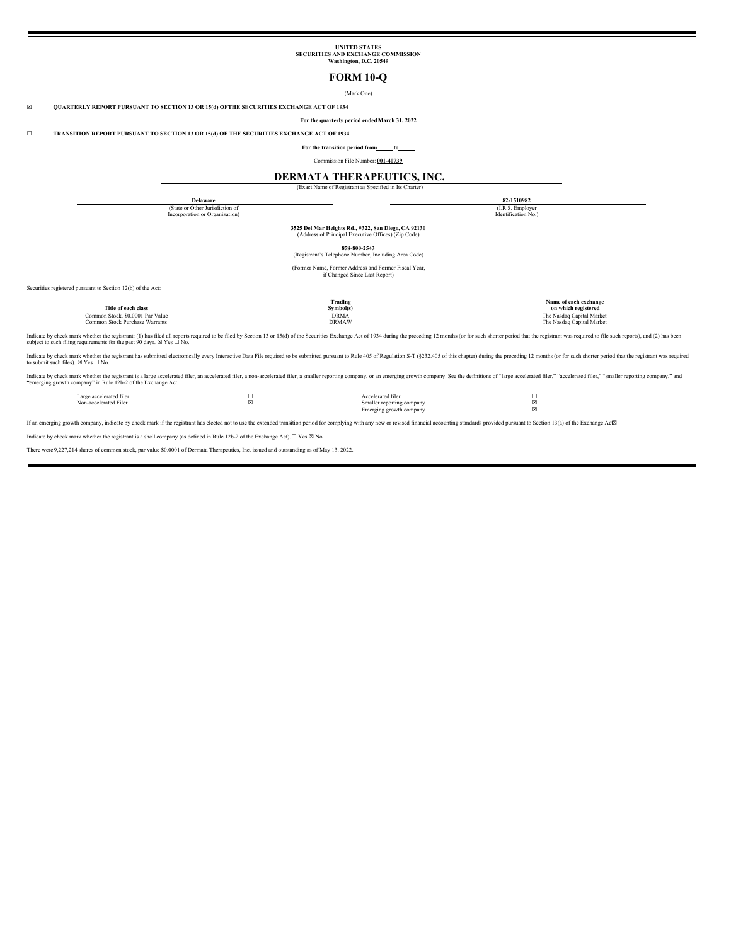**UNITED STATES SECURITIES AND EXCHANGE COMMISSION Washington, D.C. 20549**

## **FORM 10-Q**

(Mark One)

**☒ QUARTERLY REPORT PURSUANT TO SECTION 13 OR 15(d) OFTHE SECURITIES EXCHANGE ACT OF 1934**

**For the quarterly period endedMarch 31, 2022**

**☐ TRANSITION REPORT PURSUANT TO SECTION 13 OR 15(d) OF THE SECURITIES EXCHANGE ACT OF 1934**

**For the transition period from\_\_\_\_\_ to \_\_\_\_\_**

Commission File Number: **001-40739**

## **DERMATA THERAPEUTICS, INC.** (Exact Name of Registrant as Specified in Its Charter)

**Delaware 82-1510982**<br>
(State or Other Jurisdiction of (I.R.S. Employer<br>
Incorporation or Organization) Identification No.)

**3525 Del Mar Heights Rd., #322, San Diego, CA 92130** (Address of Principal Executive Offices) (Zip Code)

**858-800-2543** (Registrant's Telephone Number, Including Area Code)

(Former Name, Former Address and Former Fiscal Year, if Changed Since Last Report)

Securities registered pursuant to Section 12(b) of the Act:

| Title of each class                                                                                                                                                                                                            | Trading<br>Symbol(s)                                                                                                                                                                                                           |                           | Name of each exchange<br>on which registered                                                                                                                                                                                   |  |  |  |  |  |  |
|--------------------------------------------------------------------------------------------------------------------------------------------------------------------------------------------------------------------------------|--------------------------------------------------------------------------------------------------------------------------------------------------------------------------------------------------------------------------------|---------------------------|--------------------------------------------------------------------------------------------------------------------------------------------------------------------------------------------------------------------------------|--|--|--|--|--|--|
| Common Stock, \$0,0001 Par Value                                                                                                                                                                                               | <b>DRMA</b>                                                                                                                                                                                                                    |                           | The Nasdaq Capital Market                                                                                                                                                                                                      |  |  |  |  |  |  |
| Common Stock Purchase Warrants                                                                                                                                                                                                 | <b>DRMAW</b>                                                                                                                                                                                                                   |                           | The Nasdaq Capital Market                                                                                                                                                                                                      |  |  |  |  |  |  |
| subject to such filing requirements for the past 90 days. $\boxtimes$ Yes $\Box$ No.                                                                                                                                           |                                                                                                                                                                                                                                |                           | Indicate by check mark whether the registrant: (1) has filed all reports required to be filed by Section 13 or 15(d) of the Securities Exchange Act of 1934 during the preceding 12 months (or for such shorter period that th |  |  |  |  |  |  |
| to submit such files). $\boxtimes$ Yes $\square$ No.                                                                                                                                                                           | Indicate by check mark whether the registrant has submitted electronically every Interactive Data File required to be submitted pursuant to Rule 405 of Regulation S-T (§232.405 of this chapter) during the preceding 12 mont |                           |                                                                                                                                                                                                                                |  |  |  |  |  |  |
| "emerging growth company" in Rule 12b-2 of the Exchange Act.                                                                                                                                                                   |                                                                                                                                                                                                                                |                           | Indicate by check mark whether the registrant is a large accelerated filer, an accelerated filer, a non-accelerated filer, a non-accelerated filer, a smaller reporting company, or an emerging growth company. See the defini |  |  |  |  |  |  |
| Large accelerated filer                                                                                                                                                                                                        |                                                                                                                                                                                                                                | Accelerated filer         | с                                                                                                                                                                                                                              |  |  |  |  |  |  |
| Non-accelerated Filer                                                                                                                                                                                                          | ×                                                                                                                                                                                                                              | Smaller reporting company | ×                                                                                                                                                                                                                              |  |  |  |  |  |  |
|                                                                                                                                                                                                                                |                                                                                                                                                                                                                                | Emerging growth company   | ×                                                                                                                                                                                                                              |  |  |  |  |  |  |
| If an emerging growth company, indicate by check mark if the registrant has elected not to use the extended transition period for complying with any new or revised financial accounting standards provided pursuant to Sectio |                                                                                                                                                                                                                                |                           |                                                                                                                                                                                                                                |  |  |  |  |  |  |
| Indicate by check mark whether the registrant is a shell company (as defined in Rule 12b-2 of the Exchange Act). $\Box$ Yes $\boxtimes$ No.                                                                                    |                                                                                                                                                                                                                                |                           |                                                                                                                                                                                                                                |  |  |  |  |  |  |
| There were 9,227,214 shares of common stock, par value \$0.0001 of Dermata Therapeutics, Inc. issued and outstanding as of May 13, 2022.                                                                                       |                                                                                                                                                                                                                                |                           |                                                                                                                                                                                                                                |  |  |  |  |  |  |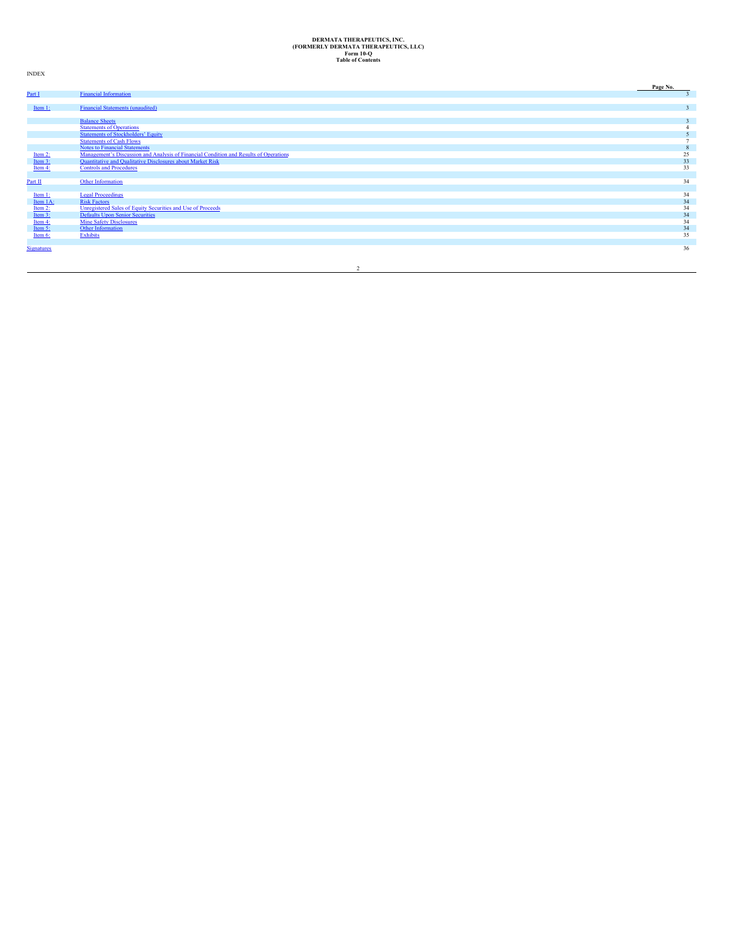# <span id="page-1-0"></span>**DERMATA THERAPEUTICS, INC. (FORMERLY DERMATA THERAPEUTICS, LLC) Form 10-Q Table of Contents**

**Page No.** [Part](#page-2-0) I Financial [Information](#page-2-0) Page No. 3<br>
<u>Page No.</u> 3<br>
<u>Rem 1:</u> Financial Statements (unaudited) 3 [Item](#page-2-1) 1: Financial [Statements](#page-2-1) (unaudited) 3 [Balance](#page-2-2) Sheets<br> [Statements](#page-7-0) of Operations<br>
Statements of [Stockholders'](#page-4-0) Equity<br>
Statements of Cash Flows<br>
Motes to Financial Statements<br>
Notes to Financial Statements<br> [Management's](#page-24-0) Discussion and Analysis of Financial Condit [Part](#page-33-0) II Other [Information](#page-33-0) 34 Hem 1.<br> [Item](#page-34-0) 1.<br>
<u>Item 2.:</u><br><u>Item 3.: Universite of Sales of Equity [Securities](#page-33-4) and Use of Proceeds<br>
1. Definits Upon Security Securities<br>
1. Other [Information](#page-33-6)<br>
<u>Item 6:</u> Other Information<br>
<u>Item 6:</u> [Exhibits](#page-34-0)<br>
<u>Item 6:</u> Exh</u> [Signatures](#page-35-0) 36

2

INDEX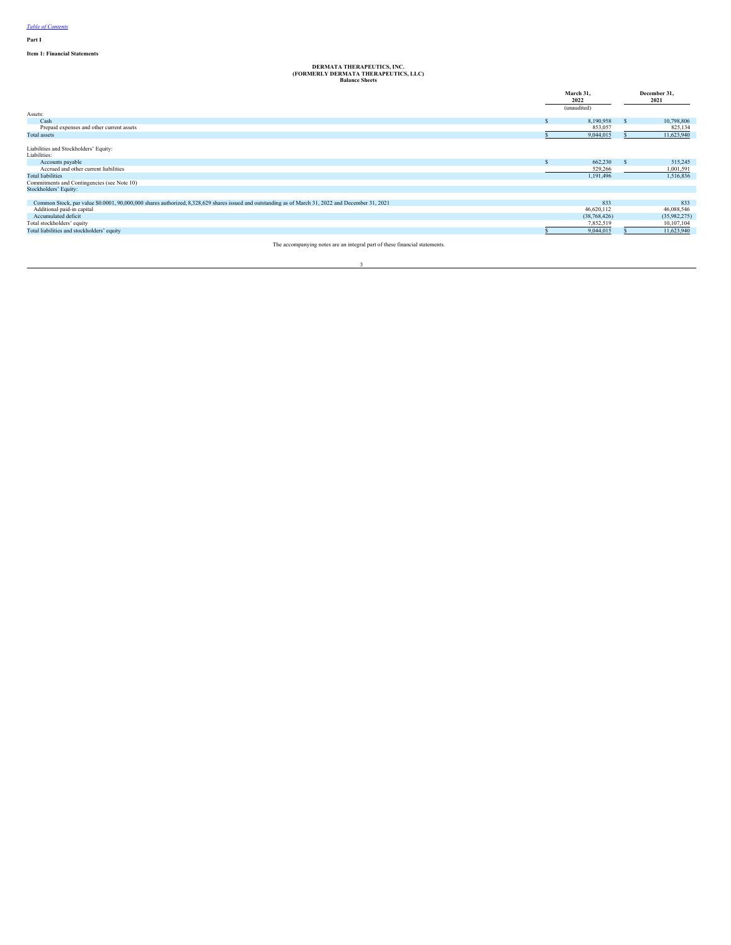## <span id="page-2-0"></span>**Part I**

<span id="page-2-1"></span>**Item 1: Financial Statements**

## <span id="page-2-2"></span>**DERMATA THERAPEUTICS, INC. (FORMERLY DERMATA THERAPEUTICS, LLC) Balance Sheets**

|                                                                                                                                                    |  | March 31,<br>2022<br>(unaudited) | December 31,<br>2021 |
|----------------------------------------------------------------------------------------------------------------------------------------------------|--|----------------------------------|----------------------|
| Assets:                                                                                                                                            |  |                                  |                      |
| Cash                                                                                                                                               |  | 8,190,958                        | 10,798,806           |
| Prepaid expenses and other current assets                                                                                                          |  | 853,057                          | 825,134              |
| <b>Total</b> assets                                                                                                                                |  | 9,044,015                        | 11,623,940           |
| Liabilities and Stockholders' Equity:<br>Liabilities:                                                                                              |  |                                  |                      |
| Accounts payable                                                                                                                                   |  | 662,230                          | 515,245              |
| Accrued and other current liabilities                                                                                                              |  | 529,266                          | 1,001,591            |
| <b>Total liabilities</b>                                                                                                                           |  | 1,191,496                        | 1,516,836            |
| Commitments and Contingencies (see Note 10)                                                                                                        |  |                                  |                      |
| Stockholders' Equity:                                                                                                                              |  |                                  |                      |
| Common Stock, par value \$0.0001, 90,000,000 shares authorized, 8,328,629 shares issued and outstanding as of March 31, 2022 and December 31, 2021 |  | 833                              | 833                  |
| Additional paid-in capital                                                                                                                         |  | 46,620,112                       | 46,088,546           |
| Accumulated deficit                                                                                                                                |  | (38, 768, 426)                   | (35,982,275)         |
| Total stockholders' equity                                                                                                                         |  | 7,852,519                        | 10,107,104           |
| Total liabilities and stockholders' equity                                                                                                         |  | 9,044,015                        | 11,623,940           |
|                                                                                                                                                    |  |                                  |                      |
|                                                                                                                                                    |  |                                  |                      |

The accompanying notes are an integral part of these financial statements. 3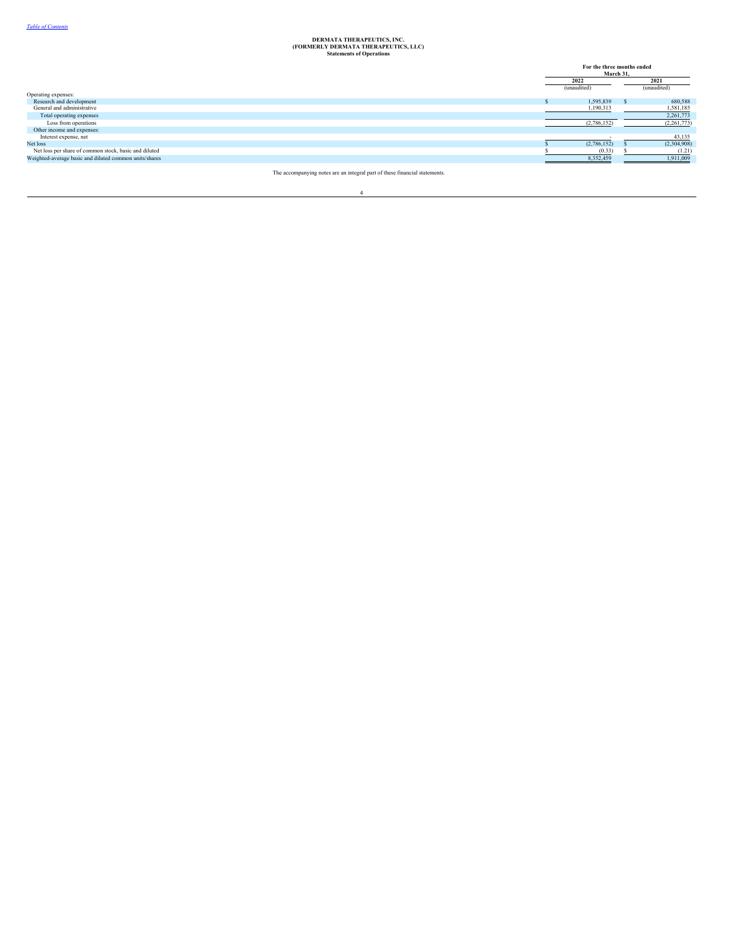## <span id="page-3-0"></span>**DERMATA THERAPEUTICS, INC. (FORMERLY DERMATA THERAPEUTICS, LLC) Statements of Operations**

|                                                        |             | For the three months ended<br>March 31. |
|--------------------------------------------------------|-------------|-----------------------------------------|
|                                                        | 2022        | 2021                                    |
|                                                        | (unaudited) | (unaudited)                             |
| Operating expenses:                                    |             |                                         |
| Research and development                               | 1,595,839   | 680,588                                 |
| General and administrative                             | 1,190,313   | 1,581,185                               |
| Total operating expenses                               |             | 2,261,773                               |
| Loss from operations                                   | (2,786,152) | (2,261,773)                             |
| Other income and expenses:                             |             |                                         |
| Interest expense, net                                  |             | 43,135                                  |
| Net loss                                               | (2,786,152) | (2,304,908)                             |
| Net loss per share of common stock, basic and diluted  | (0.33)      | (1.21)                                  |
| Weighted-average basic and diluted common units/shares | 8,352,459   | 1,911,009                               |
|                                                        |             |                                         |

The accompanying notes are an integral part of these financial statements. 4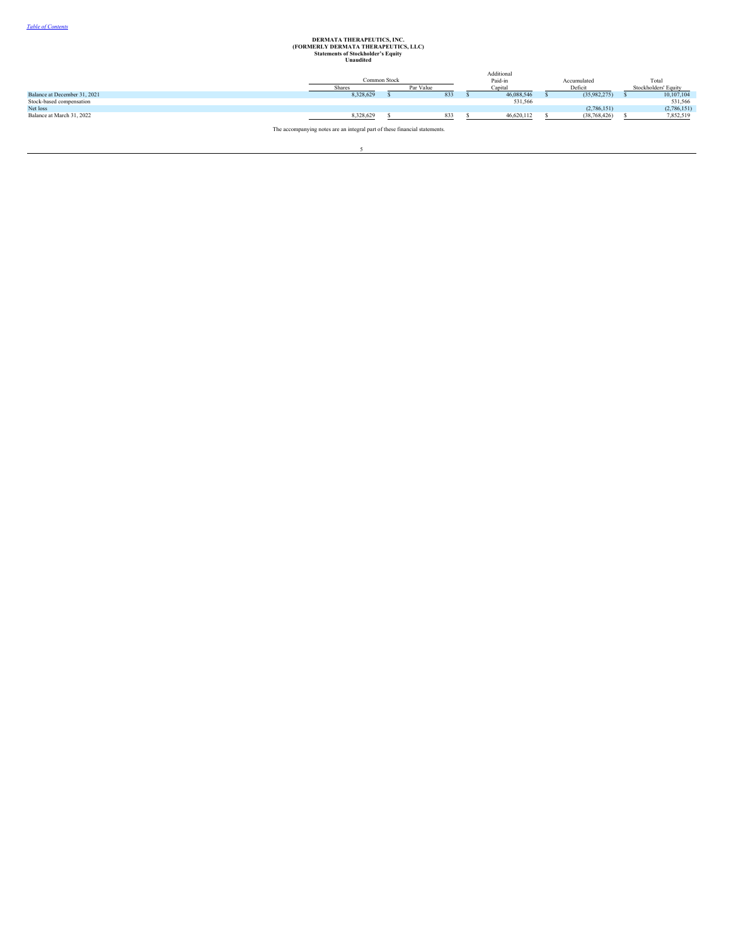# <span id="page-4-0"></span>**DERMATA THERAPEUTICS, INC. (FORMERLY DERMATA THERAPEUTICS, LLC) Statements of Stockholder's Equity Unaudited**

|                              |                                                                            |  |           |  | Additional |             |                |  |                      |
|------------------------------|----------------------------------------------------------------------------|--|-----------|--|------------|-------------|----------------|--|----------------------|
|                              | Common Stock                                                               |  |           |  | Paid-in    | Accumulated |                |  | Total                |
|                              | <b>Shares</b>                                                              |  | Par Value |  | Capital    |             | Deficit        |  | Stockholders' Equity |
| Balance at December 31, 2021 | 8,328,629                                                                  |  | 833       |  | 46,088,546 |             | (35,982,275)   |  | 10,107,104           |
| Stock-based compensation     |                                                                            |  |           |  | 531,566    |             |                |  | 531,566              |
| Net loss                     |                                                                            |  |           |  |            |             | (2,786,151)    |  | (2,786,151)          |
| Balance at March 31, 2022    | 8,328,629                                                                  |  | 833       |  | 46,620,112 |             | (38, 768, 426) |  | 7,852,519            |
|                              |                                                                            |  |           |  |            |             |                |  |                      |
|                              | The accompanying notes are an integral part of these financial statements. |  |           |  |            |             |                |  |                      |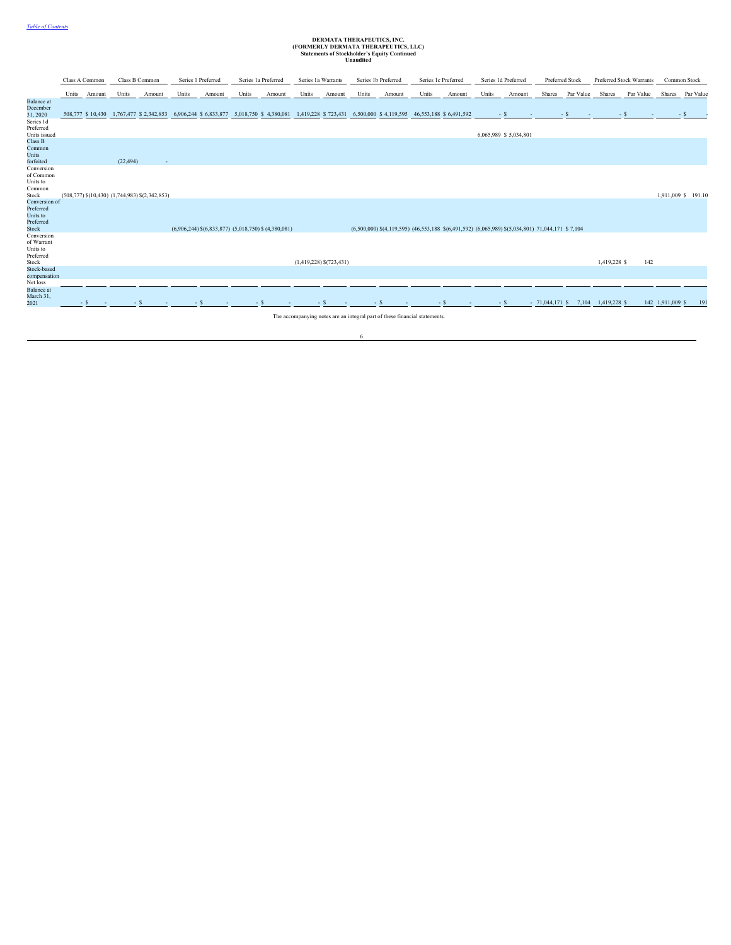# **DERMATA THERAPEUTICS, INC. (FORMERLY DERMATA THERAPEUTICS, LLC) Statements of Stockholder's Equity Continued Unaudited**

|                                                              | Class A Common |                   | Class B Common |                                                | Series 1 Preferred |                                                               | Series 1a Preferred    |        | Series 1a Warrants |                           | Series 1b Preferred |                                                                            | Series 1c Preferred |                                                                                                                   | Series 1d Preferred |                       |        | Preferred Stock |                                     | Preferred Stock Warrants | Common Stock     |                     |
|--------------------------------------------------------------|----------------|-------------------|----------------|------------------------------------------------|--------------------|---------------------------------------------------------------|------------------------|--------|--------------------|---------------------------|---------------------|----------------------------------------------------------------------------|---------------------|-------------------------------------------------------------------------------------------------------------------|---------------------|-----------------------|--------|-----------------|-------------------------------------|--------------------------|------------------|---------------------|
|                                                              | Units          | Amount            | Units          | Amount                                         | Units              | Amount                                                        | Units                  | Amount | Units              | Amount                    | Units               | Amount                                                                     | Units               | Amount                                                                                                            | Units               | Amount                | Shares | Par Value       | Shares                              | Par Value                |                  | Shares Par Value    |
| <b>Balance</b> at<br>December<br>31, 2020<br>Series 1d       |                | 508,777 \$ 10,430 |                | 1,767,477 \$ 2,342,853                         |                    | 6,906,244 \$ 6,833,877                                        | 5,018,750 \$ 4,380,081 |        |                    | 1,419,228 \$723,431       |                     | 6,500,000 \$4,119,595 46,553,188 \$6,491,592                               |                     |                                                                                                                   | $-S$                |                       |        | $-S$            |                                     | $-S$                     |                  | $-S$                |
| Preferred<br>Units issued                                    |                |                   |                |                                                |                    |                                                               |                        |        |                    |                           |                     |                                                                            |                     |                                                                                                                   |                     | 6,065,989 \$5,034,801 |        |                 |                                     |                          |                  |                     |
| Class B                                                      |                |                   |                |                                                |                    |                                                               |                        |        |                    |                           |                     |                                                                            |                     |                                                                                                                   |                     |                       |        |                 |                                     |                          |                  |                     |
| Common<br>Units                                              |                |                   |                |                                                |                    |                                                               |                        |        |                    |                           |                     |                                                                            |                     |                                                                                                                   |                     |                       |        |                 |                                     |                          |                  |                     |
| forfeited<br>Conversion                                      |                |                   | (22, 494)      |                                                |                    |                                                               |                        |        |                    |                           |                     |                                                                            |                     |                                                                                                                   |                     |                       |        |                 |                                     |                          |                  |                     |
| of Common<br>Units to                                        |                |                   |                |                                                |                    |                                                               |                        |        |                    |                           |                     |                                                                            |                     |                                                                                                                   |                     |                       |        |                 |                                     |                          |                  |                     |
| Common<br>Stock                                              |                |                   |                | (508,777) \$(10,430) (1,744,983) \$(2,342,853) |                    |                                                               |                        |        |                    |                           |                     |                                                                            |                     |                                                                                                                   |                     |                       |        |                 |                                     |                          |                  | 1.911.009 \$ 191.10 |
| Conversion of<br>Preferred<br>Units to<br>Preferred<br>Stock |                |                   |                |                                                |                    | $(6,906,244)$ \$ $(6,833,877)$ $(5,018,750)$ \$ $(4,380,081)$ |                        |        |                    |                           |                     |                                                                            |                     | $(6,500,000)$ \$ $(4,119,595)$ $(46,553,188)$ \$ $(6,491,592)$ $(6,065,989)$ \$ $(5,034,801)$ 71,044,171 \$ 7,104 |                     |                       |        |                 |                                     |                          |                  |                     |
| Conversion<br>of Warrant<br>Units to<br>Preferred            |                |                   |                |                                                |                    |                                                               |                        |        |                    |                           |                     |                                                                            |                     |                                                                                                                   |                     |                       |        |                 |                                     |                          |                  |                     |
| Stock                                                        |                |                   |                |                                                |                    |                                                               |                        |        |                    | $(1,419,228)$ \$(723,431) |                     |                                                                            |                     |                                                                                                                   |                     |                       |        |                 | 1,419,228 \$                        | 142                      |                  |                     |
| Stock-based<br>compensation                                  |                |                   |                |                                                |                    |                                                               |                        |        |                    |                           |                     |                                                                            |                     |                                                                                                                   |                     |                       |        |                 |                                     |                          |                  |                     |
| Net loss                                                     |                |                   |                |                                                |                    |                                                               |                        |        |                    |                           |                     |                                                                            |                     |                                                                                                                   |                     |                       |        |                 |                                     |                          |                  |                     |
| <b>Balance</b> at<br>March 31,<br>2021                       |                | $-S$              | $-S$           |                                                | $-S$               |                                                               | $-S$                   |        |                    | $-S$                      | $-S$                |                                                                            |                     | $-S$                                                                                                              | $-S$                |                       |        |                 | $-71,044,171$ \$ 7,104 1,419,228 \$ |                          | 142 1,911,009 \$ | 191                 |
|                                                              |                |                   |                |                                                |                    |                                                               |                        |        |                    |                           |                     | The accompanying notes are an integral part of these financial statements. |                     |                                                                                                                   |                     |                       |        |                 |                                     |                          |                  |                     |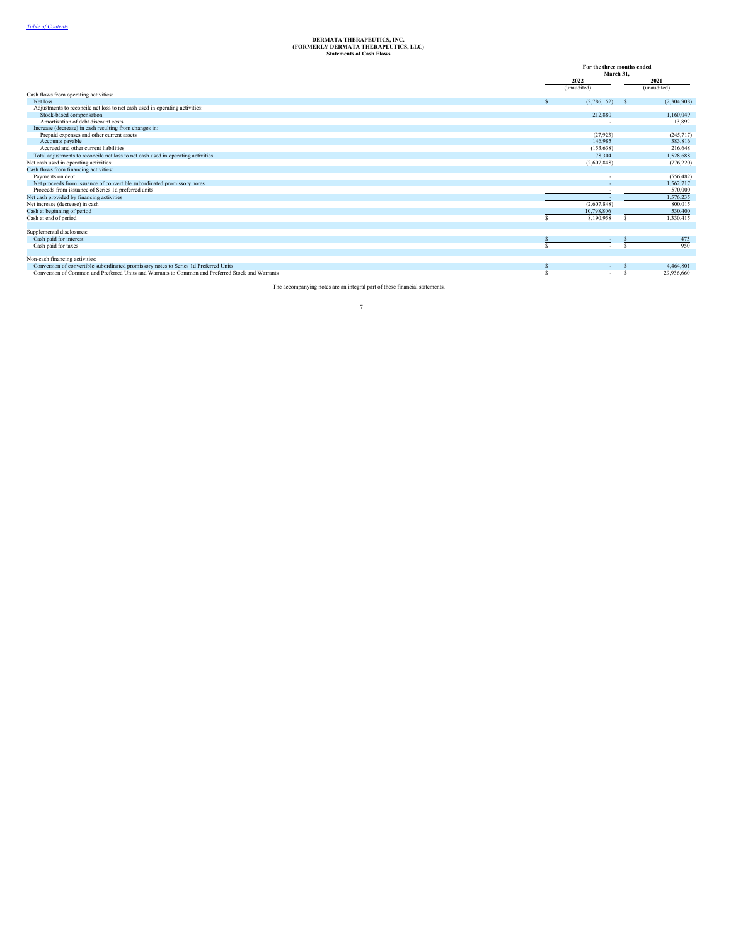## <span id="page-6-0"></span>**DERMATA THERAPEUTICS, INC. (FORMERLY DERMATA THERAPEUTICS, LLC) Statements of Cash Flows**

|                                                                                                  | For the three months ended<br>March 31, |    |             |
|--------------------------------------------------------------------------------------------------|-----------------------------------------|----|-------------|
|                                                                                                  | 2022                                    |    | 2021        |
|                                                                                                  | (unaudited)                             |    | (unaudited) |
| Cash flows from operating activities:                                                            |                                         |    |             |
| Net loss                                                                                         | (2,786,152)                             | -S | (2,304,908) |
| Adjustments to reconcile net loss to net cash used in operating activities:                      |                                         |    |             |
| Stock-based compensation                                                                         | 212,880                                 |    | 1,160,049   |
| Amortization of debt discount costs                                                              |                                         |    | 13.892      |
| Increase (decrease) in cash resulting from changes in:                                           |                                         |    |             |
| Prepaid expenses and other current assets                                                        | (27, 923)                               |    | (245, 717)  |
| Accounts payable                                                                                 | 146,985                                 |    | 383,816     |
| Accrued and other current liabilities                                                            | (153, 638)                              |    | 216,648     |
| Total adjustments to reconcile net loss to net cash used in operating activities                 | 178,304                                 |    | 1,528,688   |
| Net cash used in operating activities:                                                           | (2,607,848)                             |    | (776, 220)  |
| Cash flows from financing activities:                                                            |                                         |    |             |
| Payments on debt                                                                                 |                                         |    | (556, 482)  |
| Net proceeds from issuance of convertible subordinated promissory notes                          |                                         |    | 1,562,717   |
| Proceeds from issuance of Series 1d preferred units                                              |                                         |    | 570,000     |
| Net cash provided by financing activities                                                        |                                         |    | 1,576,235   |
| Net increase (decrease) in cash                                                                  | (2,607,848)                             |    | 800,015     |
| Cash at beginning of period                                                                      | 10,798,806                              |    | 530,400     |
| Cash at end of period                                                                            | 8,190,958                               |    | 1,330,415   |
| Supplemental disclosures:                                                                        |                                         |    |             |
| Cash paid for interest                                                                           | ۰.                                      |    | 473         |
|                                                                                                  |                                         |    | 950         |
| Cash paid for taxes                                                                              |                                         |    |             |
| Non-cash financing activities:                                                                   |                                         |    |             |
| Conversion of convertible subordinated promissory notes to Series 1d Preferred Units             |                                         |    | 4,464,801   |
| Conversion of Common and Preferred Units and Warrants to Common and Preferred Stock and Warrants |                                         |    | 29,936,660  |

The accompanying notes are an integral part of these financial statements. 7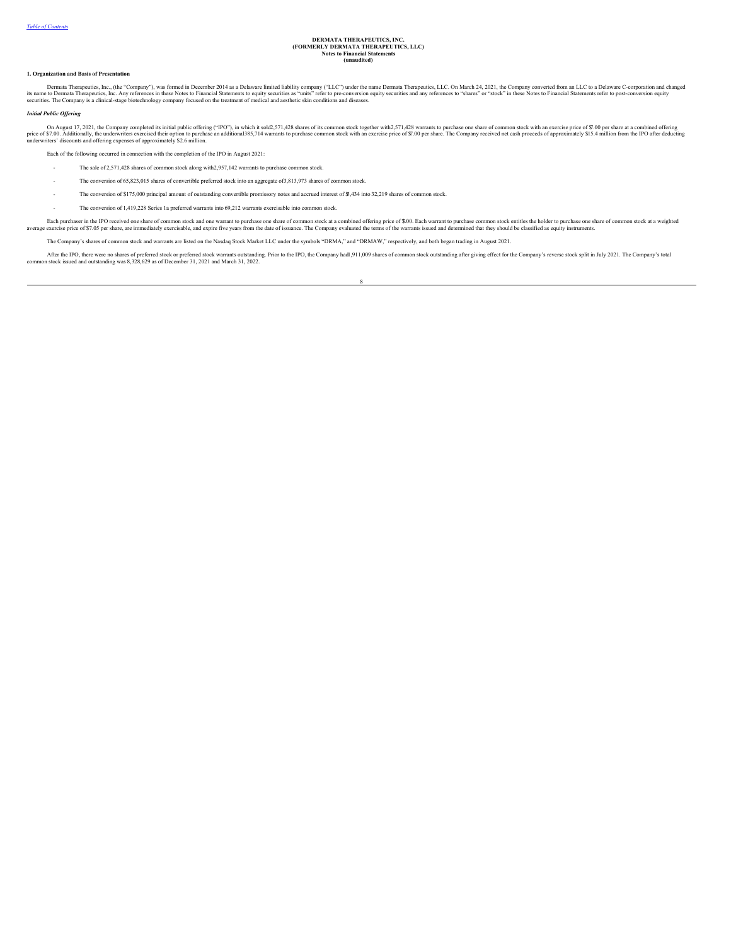## <span id="page-7-0"></span>**DERMATA THERAPEUTICS, INC. (FORMERLY DERMATA THERAPEUTICS, LLC) Notes to Financial Statements (unaudited)**

#### **1. Organization and Basis of Presentation**

Dermata Therapeutics, Inc., (the "Company"), was formed in December 2014 as a Delaware limited liability company ("LLC") under the name Dermata Therapeutics, LLC. On March 24, 2021, the Company converted from an LLC to a D

## *Initial Public Of ering*

On August 17, 2021, the Company completed its initial public offering ("IPO"), in which it sold2,571,428 shares of its common stock together with2,571,428 warrants to purchase one share of common stock with an exercise pri

Each of the following occurred in connection with the completion of the IPO in August 2021:

- The sale of 2,571,428 shares of common stock along with 2,957,142 warrants to purchase common stock.
- The conversion of 65,823,015 shares of convertible preferred stock into an aggregate of3,813,973 shares of common stock.
- The conversion of \$175,000 principal amount of outstanding convertible promissory notes and accrued interest of \$5,434 into 32,219 shares of common stock.
	- The conversion of 1,419,228 Series 1a preferred warrants into 69,212 warrants exercisable into common stock.

Each purchaser in the IPO received one share of common stock and one warrant to purchase one share of common stock at a wonighted offering price of \$,000. Each warrant to purchase one share of our behavior annon stock at a

The Company's shares of common stock and warrants are listed on the Nasdaq Stock Market LLC under the symbols "DRMA," and "DRMAW," respectively, and both began trading in August 2021.

After the IPO, there were no shares of preferred stock or preferred stock or preferred stock warrants outsanding and pail, 911,009 shares of common stock outstanding after giving effect for the Company's reverse stock spli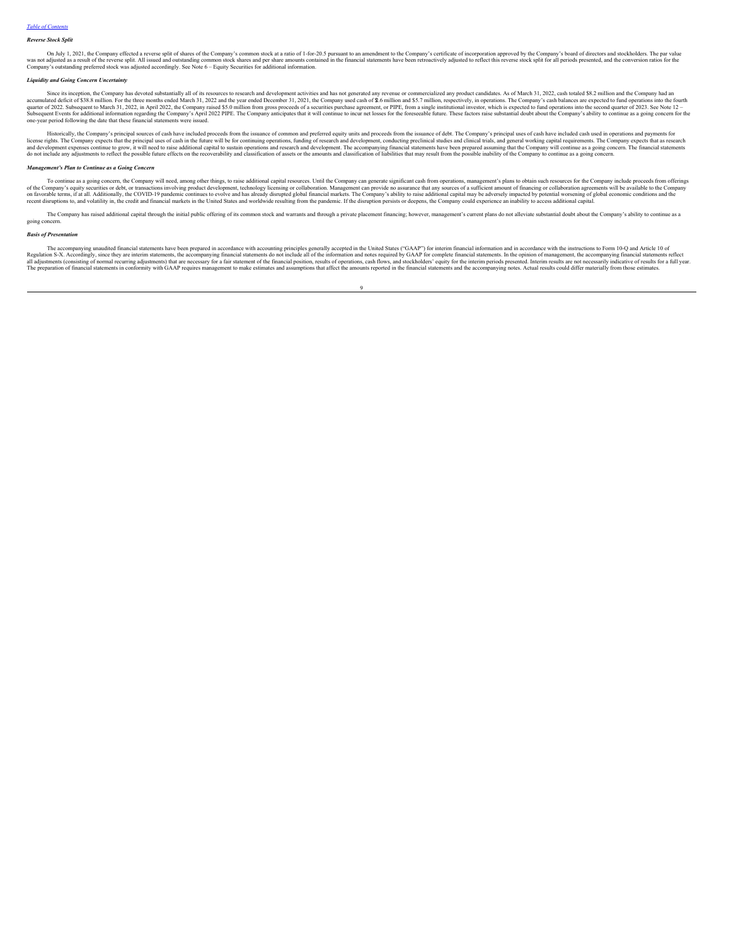### *Reverse Stock Split*

On July 1, 2021, the Company effected a reverse split of shares of the Company's common stock at a ratio of 1-for-20.5 pursuant to an amendment to the Company's certificate of incorporation approved by the Company's bard o was not adjusted as result of the reverse split. All issued and outstanding common stock shares and per share amounts contained in the financial statements have been retroactively adjusted to reflect this reverse stock spl

#### *Liquidity and Going Concern Uncertainty*

Since is inception, the Company has developmed abstantional intervents were search and development activities and has not generated any revenue or entercialized any product candidates. As of March 31, 2022, cash totaled \$8

Historically, the Company's principal sources of cash have included proceeds from the issuance of common and preferred equity units and proceeds from the issuance of debt. The Company's principal uses of cash have included

#### *Management's Plan to Continue as a Going Concern*

To continue as a going concern, the Company will need, among other things, to raise additional capital resources. Until the Company can generate significant cash from operations, management's plans to obtain such resources

The Company has raised additional capital through the initial public offering of its common stock and warrants and through a private placement financing; however, management's current plans do not alleviate substantial dou going concern.

#### *Basis of Presentation*

The accompanying unaudited financial statements have been prepared in accordance with accounting principles generally accepted in the United States ("GAAP") for interim financial information and in accordance with the inst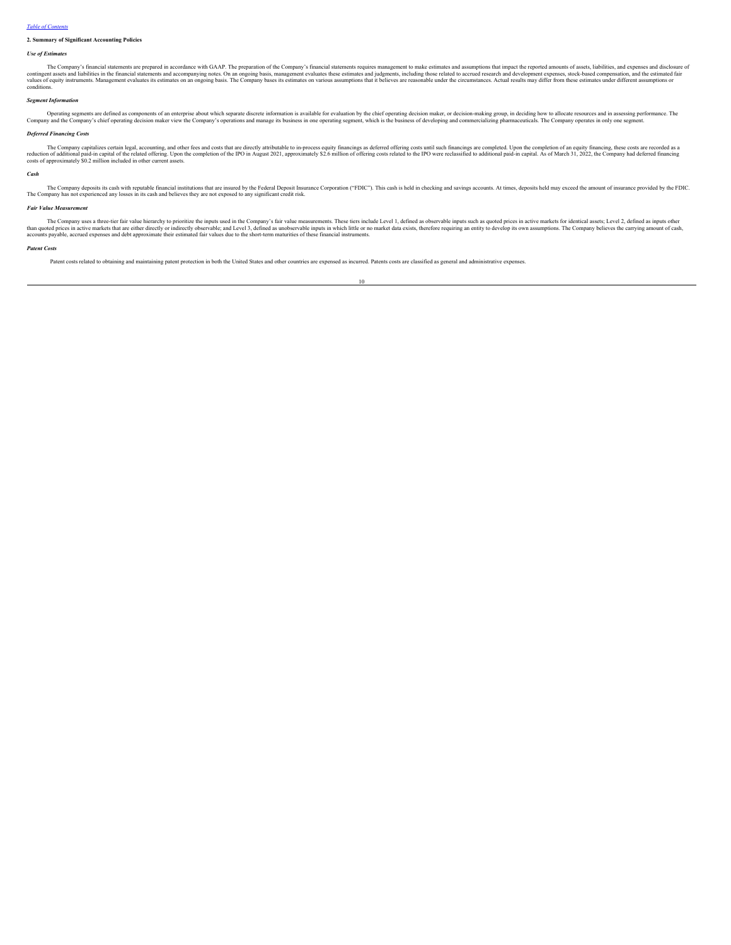## **2. Summary of Significant Accounting Policies**

## *Use of Estimates*

The Company's financial statements are prepared in accordance with GAAP. The preparation of the Company's financial statements requires management to make estimates and assumptions that impact the reported amounts of asset contingent assets and liabilities in the financial statements and accompanying notes. On an ongoing basis, management evaluates these estimates on an one of the enterged fair enterged and evaluate of exergent and the exerg conditions.

## $Segment$  *Informati*

Operating segments are defined as components of an enterprise about which separate discrete information is available for ever the Company is operating segment. The company is operating segment and manage its business in on

#### *Deferred Financing Costs*

The Company capitalizes certain legal, accounting, and other fees and costs that are directly attributable to in-process equity financings as deferred offering costs until such financings are completed. Upon the completion

#### *Cash*

The Company deposits its cash with reputable financial institutions that are insured by the Federal Deposit Insurance Corporation ("FDIC"). This cash is held in checking and savings accounts. At times, deposits held may ex

## *Fair Value Measurement*

The Company uses a three-tier fair value hierarchy to prioritize the inputs used in the Company's fair value measurements. These tiers include Level 1, defined as observable inputs such as quoted prices in active markets f

10

## *Patent Costs*

Patent costs related to obtaining and maintaining patent protection in both the United States and other countries are expensed as incurred. Patents costs are classified as general and administrative expenses.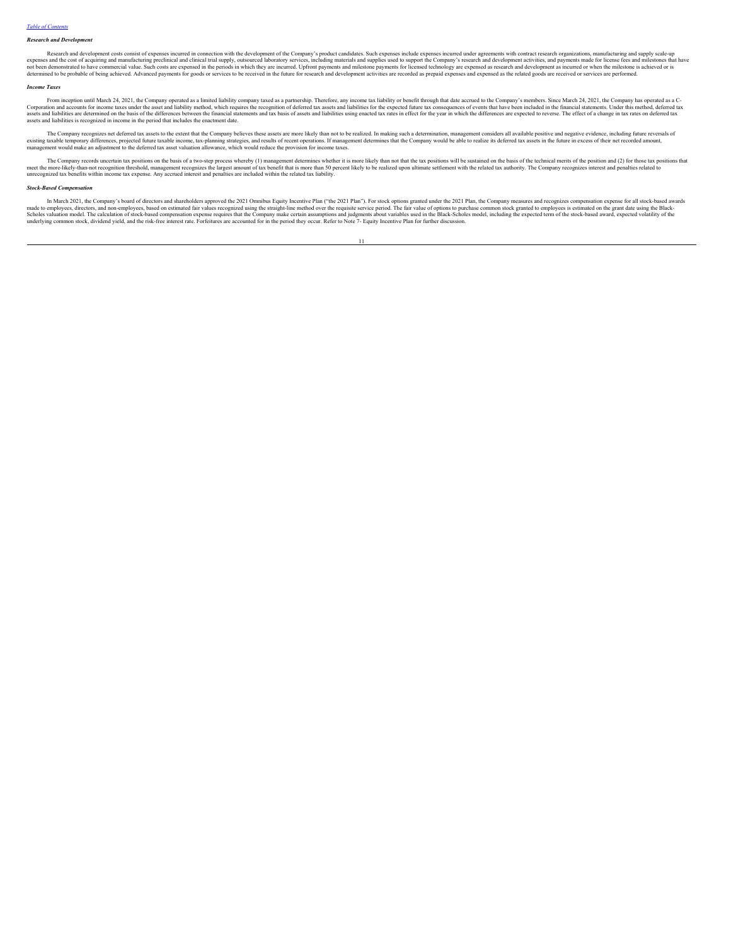#### *Research and Development*

Research and development costs consist of expenses incurred in connection with the development of the Company's product candidates. Such expenses include expenses incurred under agreements with contract research organizati

#### *Income Taxe*

From inception until March 24, 2021, the Company operated as a limited liability company taxed as a partnership. Therefore, any income tax liability of benefit through that date accrued to the Company's members. Since Marc

The Company recognizes net deferred tax assets to the extent that the Company believes these assets are more likely than not to be realized. In making such a determination, management considers all available positive and n

The Company records uncertain tax positions on the basis of a two-step process whereby (1) management determines whether it is more likely than not that the tax positions will be sustained on the basis of the technical mer

#### *Stock-Based Compensation*

In March 2021, the Company's board of directors and shareholders approved the 2021 Omnibus Equity Incentive Plan ("the 2021 Plan"). For stock options granted under the 2021 Plan, the Company measures and recognizes compens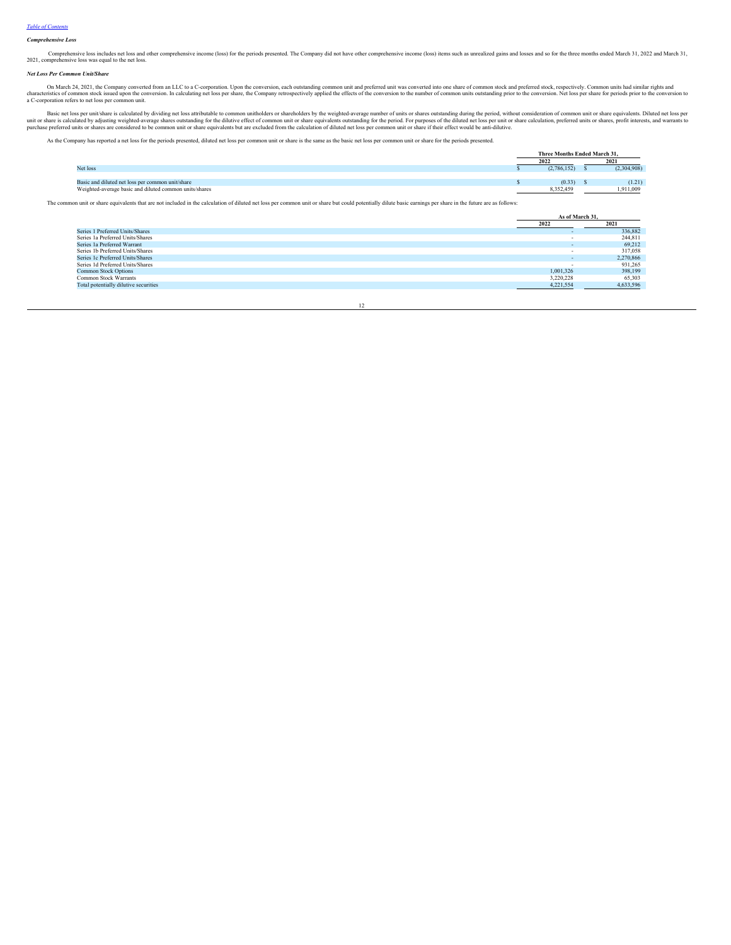## *Comprehensive Loss*

Comprehensive loss includes net loss and other comprehensive income (loss) for the periods presented. The Company did not have other comprehensive income (loss) items such as unrealized gains and losses and so for the thre

## *Net Loss Per Common Unit/Share*

On March 24, 2021, the Company converted from an LLC to a C-corporation. Upon the conversion, each outstanding common unit and preferred unit was converted into one share of common stock and preferred stock, respectively.

Basic net loss per unit/share is calculated by dividing net loss attributable to common unitholders or shareholders by the weighted-average number of units or shares outstanding during the period, without consideration of

As the Company has reported a net loss for the periods presented, diluted net loss per common unit or share is the same as the basic net loss per common unit or share for the periods presented.

|                                                        | Three Months Ended March 31. |          |
|--------------------------------------------------------|------------------------------|----------|
|                                                        | 2022                         | 2021     |
| Net loss                                               | 2.786.152                    |          |
|                                                        |                              |          |
| Basic and diluted net loss per common unit/share       | (0.33)                       | (1.21)   |
| Weighted-average basic and diluted common units/shares | 6.352.459                    | .911.009 |

The common unit or share equivalents that are not included in the calculation of diluted net loss per common unit or share but could potentially dilute basic earnings per share in the future are as follows:

|                                       | As of March 31. |           |
|---------------------------------------|-----------------|-----------|
|                                       | 2022            | 2021      |
| Series 1 Preferred Units/Shares       |                 | 336,882   |
| Series 1a Preferred Units/Shares      | ۰               | 244,811   |
| Series 1a Preferred Warrant           | $\sim$          | 69.212    |
| Series 1b Preferred Units/Shares      |                 | 317,058   |
| Series 1c Preferred Units/Shares      |                 | 2,270,866 |
| Series 1d Preferred Units/Shares      |                 | 931.265   |
| <b>Common Stock Options</b>           | 1.001.326       | 398,199   |
| <b>Common Stock Warrants</b>          | 3,220,228       | 65,303    |
| Total potentially dilutive securities | 4,221,554       | 4,633,596 |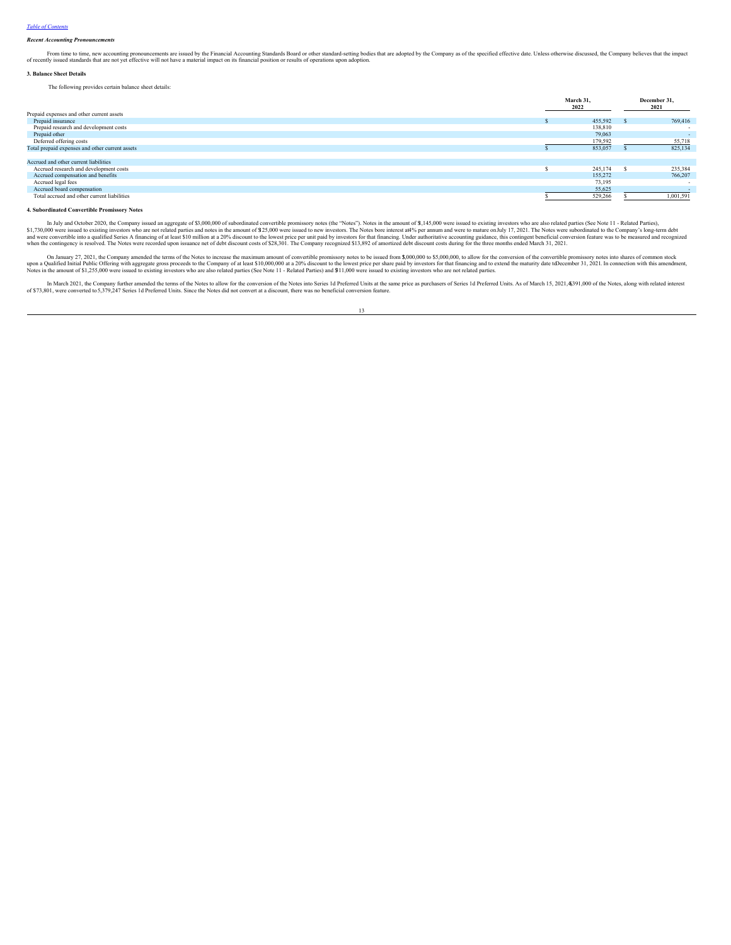#### $$

From time to time, new accounting pronouncements are issued by the Financial Accounting Standards boards of order standard-setting bodies that are adopted by the Company as of the specified effective date. Unless otherwise

#### **3. Balance Sheet Details**

The following provides certain balance sheet details:

|                                                 |  | March 31.<br>2022 | December 31,<br>2021 |                          |  |
|-------------------------------------------------|--|-------------------|----------------------|--------------------------|--|
| Prepaid expenses and other current assets       |  |                   |                      |                          |  |
| Prepaid insurance                               |  | 455,592           |                      | 769,416                  |  |
| Prepaid research and development costs          |  | 138,810           |                      |                          |  |
| Prepaid other                                   |  | 79,063            |                      | $\sim$                   |  |
| Deferred offering costs                         |  | 179,592           |                      | 55,718                   |  |
| Total prepaid expenses and other current assets |  | 853,057           |                      | 825,134                  |  |
| Accrued and other current liabilities           |  |                   |                      |                          |  |
| Accrued research and development costs          |  | 245.174           |                      | 235,384                  |  |
| Accrued compensation and benefits               |  | 155,272           |                      | 766,207                  |  |
| Accrued legal fees                              |  | 73,195            |                      |                          |  |
| Accrued board compensation                      |  | 55,625            |                      | $\overline{\phantom{a}}$ |  |
| Total accrued and other current liabilities     |  | 529,266           |                      | 1,001,591                |  |

#### **4. Subordinated Convertible Promissory Notes**

In July and October 2020, the Company issued an aggregate of \$3,000,000 of subordinated convertible promissory notes (the "Notes"). Notes in the amount of \$1,45,000 were issued to existing investors who are also related pa

On January 27, 2021, the Company amended the terms of the Notes to increase the maximum amount of convertible promissory notes to be issued from \$,000,000 to \$5,000,000, to allow for the conversion of the convertible promi

In March 201, the Company further amended the terms of the Notes to allow for the conversion of the Notes into Series of Defected Units. As of March 15, 2021, §391,000 of the Notes, along with related interest<br>of \$73,801,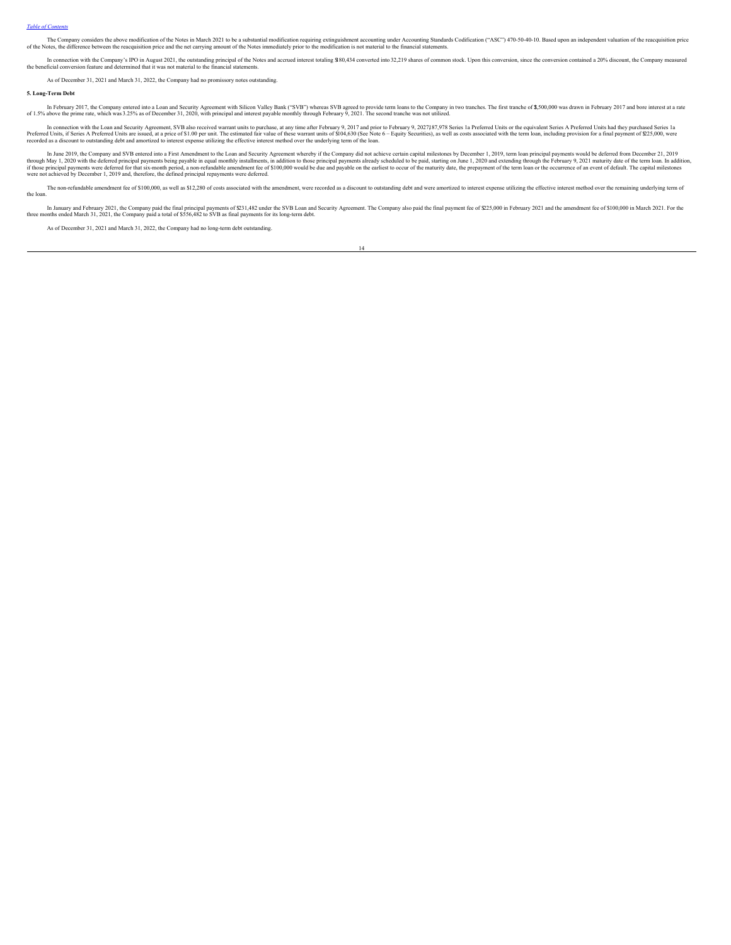The Company considers the above modification of the Notes in March 2021 to be a substantial modification requisition price and the net carrying amount of the Notes immediately prior to the modification is not material to t

In connection with the Company 's IPO in August 2021, the outstanding principal of the Notes and accrued interest totaling \$80,434 converted into 32,219 shares of common stock. Upon this conversion, since the conversion co

As of December 31, 2021 and March 31, 2022, the Company had no promissory notes outstanding.

## **5. Long-Term Debt**

In February 2017, the Company entered into a Loan and Security Agreement with Silicon Valley Bank ("SVB") whereas SVB agreed to provide term loans to the Company enterest at a rate<br>of 1.5% above the prime rate, which was 3

In connection with the Loan and Security Agreement, SVB also received warrant units to purchase, at any time after February 9, 2017 and prior to February 9, 2027187,978 Series 1a Preferred Units or the equivalent Series A

In June 2019, the Company and SVB entered into a First Amendment to the Loan and Security Agreement whereby if the Company did not achieve certain capital milestones by December 1, 2019, term loan principal payments would

The non-refundable amendment fee of \$100.000, as well as \$12.280 of costs associated with the amendment, were recorded as a discount to outstanding debt and were amortized to interest expense utilizing the effective intere the loan.

In January and February 2021, the Company paid at head principal payments of \$231,482 under the SVB Loan and Security Agreement. The Company also paid the final payment fee of \$225,000 in February 2021 and the amendment fe

As of December 31, 2021 and March 31, 2022, the Company had no long-term debt outstanding.

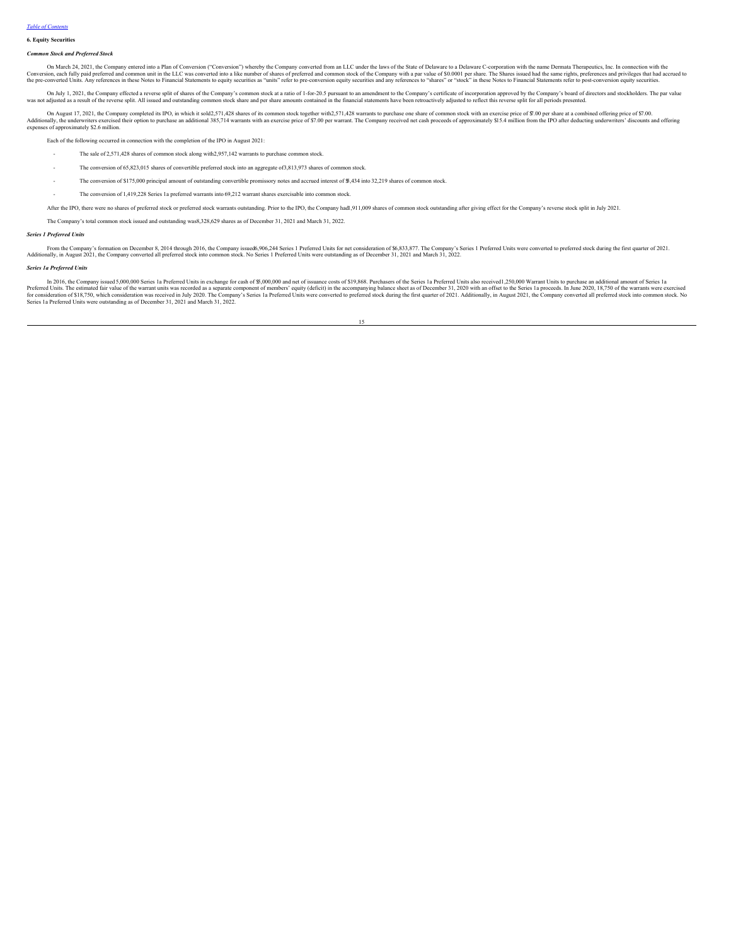## **6. Equity Securities**

## *Common Stock and Preferred Stock*

On March 24, 2021, the Company entered into a Plan of Conversion ("Conversion") whereby the Company converted from an LLC under the laws of the State of Delaware to a Delaware C-corporation with the name Dermata Therapeuti Conversion, each fully paid prefered and common unit in the LLC was converted into a like number of shares of preferred and common stock of the Company with a par value of \$0.0001 per share. The Shares issued had the same

On July 1, 2021, the Company effected a reverse split. All issued and outstanding common suck share antio of 1-for-20.5 pursuant to annendment to the Company's corrificate of mechanic ampacks and sockholders. The par value

On August 17, 2021, the Company completed its IPO, in which its old 2,571,428 shares of its common stock together with 2,511,428 warrants to purchase one share of common stock with an exercise energy price of \$7.00 per war expenses of approximately \$2.6 million.

Each of the following occurred in connection with the completion of the IPO in August 2021:

- The sale of 2,571,428 shares of common stock along with 2,957,142 warrants to purchase common stock.
- The conversion of 65,823,015 shares of convertible preferred stock into an aggregate of3,813,973 shares of common stock.
- The conversion of \$175,000 principal amount of outstanding convertible promissory notes and accrued interest of \$5,434 into 32,219 shares of common stock
- The conversion of 1,419,228 Series 1a preferred warrants into 69,212 warrant shares exercisable into common stock.

After the IPO, there were no shares of preferred stock or preferred stock warrants outstanding. Prior to the IPO, the Company hadl, 911,009 shares of common stock outstanding after giving effect for the Company's reverse s

The Company's total common stock issued and outstanding was8,328,629 shares as of December 31, 2021 and March 31, 2022.

## *Series 1 Preferred Units*

From the Company's formation on December 8, 2014 through 2016, the Company issued6,906,244 Series 1 Ureferred to is for net consideration of S6,833,87.7. The Company issued on excel and preferred stock and performed stock

## *Series 1a Preferred Units*

In 2016, the Company issued 5,000,000 Series 1a Preferred Units in exchange for cash of \$5,000,000 and net of issuance costs of \$19,868. Purchasers of the Series 1a Preferred Units also received 1,250,000 Warrant Units to Preferred Units. The estimated fair value of the warrant units was recorded as a separate component of members' equity (deficit) in the accompanying balance sheet as of December 31, 2020 with an offset to the Series 1a pro

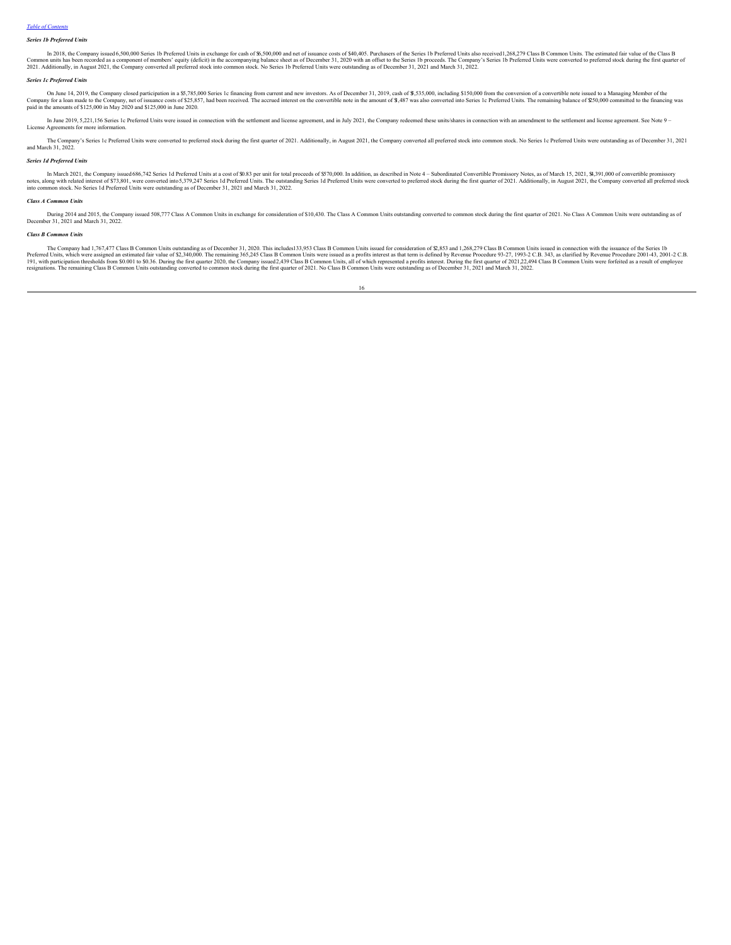#### *Series 1b Preferred Units*

In 2018, the Company issued 6,500,000 Series 1b Preferred Units in exchange for cash of \$6,500,000 and net of issuance costs of \$40,405. Purchasers of the Series 1b Preferred Units ilso received 1,268,279 Class B Common Un

#### *Series 1c Preferred Units*

On June 14, 2019, the Company closed participation in a \$5,785,000 Series 1c financing from current and new investors. As of December 31, 2019, cash of \$,535,000, including \$150,000 from the conversion of a convertible not

In June 2019, 5,221,156 Series 1c Preferred Units were issued in connection with the settlement and license agreement, and in July 2021, the Company redeemed these units/shares in connection with an amendment to the settle License Agreements for more information.

The Company's Series 1c Preferred Units were converted to preferred stock during the first quarter of 2021. Additionally, in August 2021, the Company converted all preferred stock into common stock. No Series 1c Preferred

## *Series 1d Preferred Units*

In March 2021, the Company issued 686,742 Series 1d Preferred Units at a cost of \$0.83 per unit for total proceeds of \$570,000. In addition, as described in Note 4 - Subordinated Convertible Promissory Notes, as of March 1 notes, along with related interest of 573,801, were converted into 5,379,247 Series 1d Preferred Units. The outstanding series 1d Preferred Units were converted to preferred stock during the first quarter of 2021. Addition

#### *Class A Common Units*

During 2014 and 2015, the Company issued 508,777 Class A Common Units in exchange for consideration of \$10,430. The Class A Common Units outstanding converted to common stock during the first quarter of 2021. No Class A Co

#### *Class B Common Units*

The Company had 1,767,477 Class B Common Units outstanding as of December 31, 2020. This includes133,953 Class B Common Units issued for consideration of \$2,853 and 1,268,279 Class B Common Units issued in connection with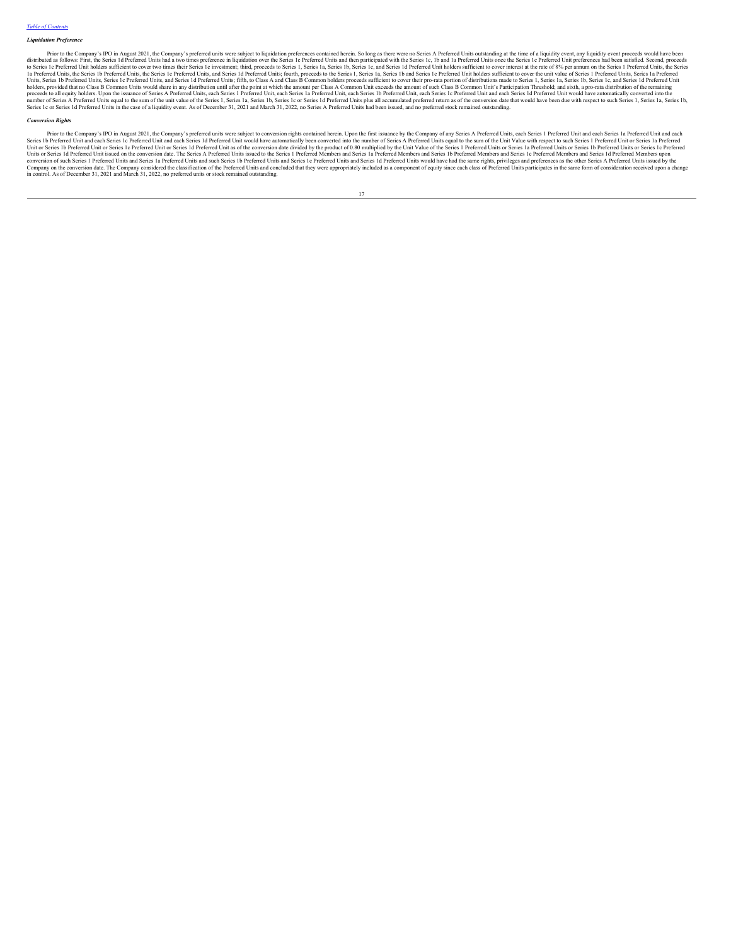#### *Liquidation Preference*

From to the Company's IPO in Angust 2021, the Company's preferred Units and the party specience in liquidation preferences contained herein. So long as there in a figure and the time of a liquity event, and inguidation at

#### *Conversion Rights*

Proferred Unit and each Series 10 Pagas 2021, the Company's HPO in August 2021, the Company's HPO in August 2021, the Company Spreferred Unit on Series Referred Unit and each Series 1 Preferred Unit and each Series 1 Prefe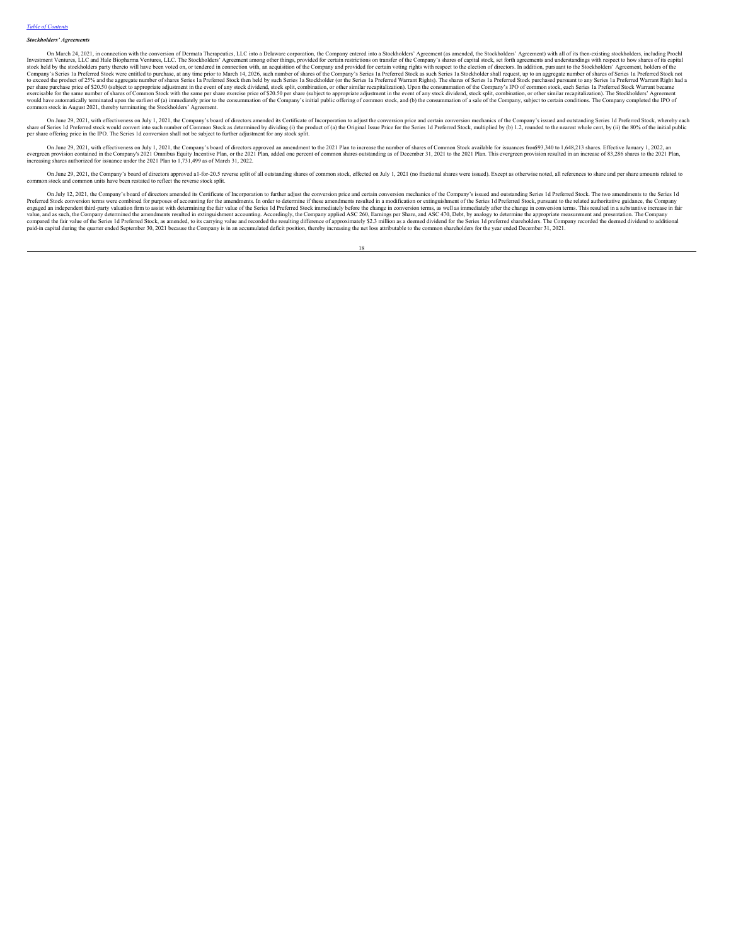## *Stockholders' Agree*

On March 24, 2021, in connection with the conversion of Derman Telephethal and Schellar the measurement of the Company and provided for certain estingates of Capital stock, set forth agreements and understanding swith resp

On June 29, 2021, with effectiveness on July 1, 2021, the Company's board of directors amended its Certificate of Incorporation to adjust the conversion price and certain conversion mechanics of the Company's issued and ou share of Serial Profered stock would convert into such urm ber of Common Stock as determined by dividing (i) the product of (a) the Original Issue Price for the Series 1d Preferred Stock, multiplied by (b) 1.2, rounded to

On June 29, 2021, with effectiveness on July 1, 2021, the Company's board of directors approved an amendment to the 2021 Plan to increase the number of shares of Common Stock available for issuances fron93,340 to 1,648,213

On June 29, 2021, the Company's board of directors approved a1-for-20.5 reverse split of all outstanding shares of common stock, effected on July 1, 2021 (no fractional shares were issued). Except as otherwise noted, all r common stock and common units have been restated to reflect the reverse stock split.

On July 12, 2021, the Company's board of directors amended its Certificate of Incorporation to further adjust the conversion price and certain conversion mechanics of the Company's issued and outstanding Series 1d Preferre

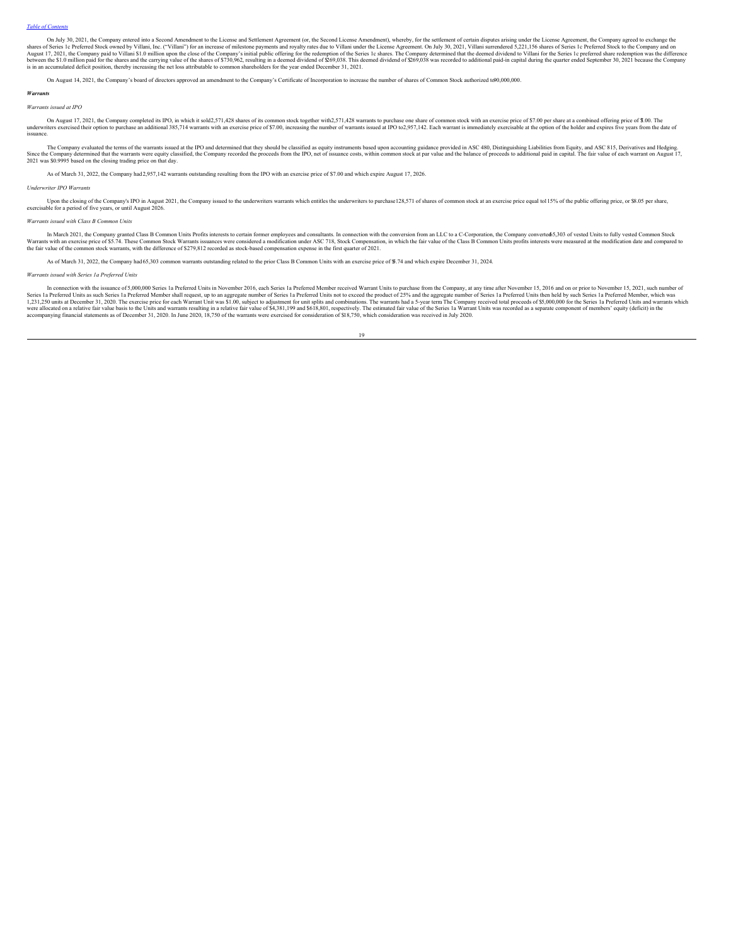On July 30, 2021, the Company atered into a Second Amendment to the License and Sctuelment (or, the Secure Mement), whereby, for the settlement), where you for all signiteg arising under the License Agreement, the Company

On August 14, 2021, the Company's board of directors approved an amendment to the Company's Certificate of Incorporation to increase the number of shares of Common Stock authorized to90,000,000.

#### *Warrants*

*Warrants issued at IPO*

On August 17, 2021, the Company completed its IPO, in which it sold2,571,428 shares of its common stock together with2,571,428 warrants to purchase one share of common stock with an exercise price of \$7.00 per share at a c underwriters exercised their option to purchase an additional 385,714 warrants with an exercise price of \$7.00, increasing the number of warrants issued at IPO to 2,957,142. Each warrant is immediately exercisable at the o issuance.

The Company evaluated the terms of the warrants issued at the IPO and determined that they should be classified as equity instruments based upon accounting guidance provided in ASC 480, Distinguishing Liabilities from Equi

As of March 31, 2022, the Company had2,957,142 warrants outstanding resulting from the IPO with an exercise price of \$7.00 and which expire August 17, 2026.

*Underwriter IPO Warrants*

Upon the closing of the Company's IPO in August 2021, the Company issued to the underwriters warrants which entitles the underwriters to purchase 128,571 of shares of common stock at an exercise price equal tol 15% of the exercisable for a period of five years, or until August 2026.

#### *Warrants issued with Class B Common Units*

In March 2021, the Company granted Class B Common Units Profits interests to certain former employees and consultants. In connection with the conversion from an LLC to a C-Corporation, the Company converted5,303 of vested

As of March 31, 2022, the Company had65,303 common warrants outstanding related to the prior Class B Common Units with an exercise price of \$5.74 and which expire December 31, 2024.

*Warrants issued with Series 1a Preferred Units*

In connection with the issuance of 5,000,000 Series la Preferred Units in November 2016, each Series la Preferred Warrant Units to pure received Warrant Units to pure received Warrant Units to pure after November 15, 2001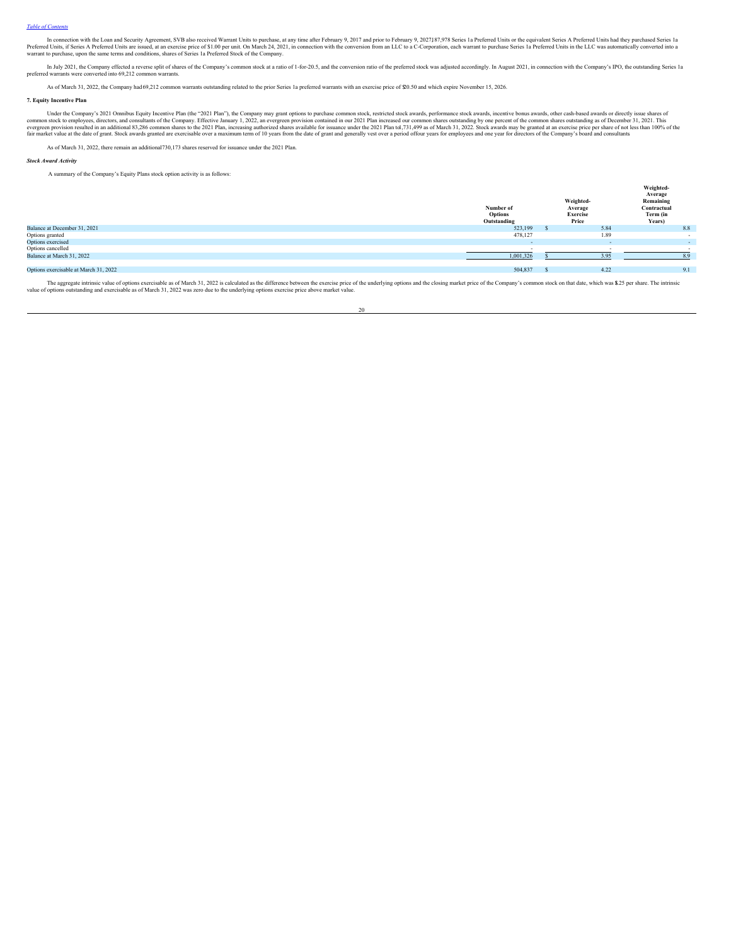In connection with the Loan and Security Agreement, SVB also received Warrant Units to purchase, at any time after February 9, 2017 and prior to February 9, 2027187,978 Series 1a Preferred Units or the equivalent Series A

In July 2021, the Company effected a reverse split of shares of the Company's common stock at a ratio of 1-for-20.5, and the conversion ratio of the preferred stock was adjusted accordingly. In August 2021, in connection w nts were converted into 69,212 common warrants.

As of March 31, 2022, the Company had69,212 common warrants outstanding related to the prior Series 1a preferred warrants with an exercise price of \$20.50 and which expire November 15, 2026.

## **7. Equity Incentive Plan**

Under the Company's 2021 Omnibus Equity Incentive Plan (the "2021 Plan"), the Company may grant options to purchase common stock, restricted stock awards, performance stock awards, incentive bonus awards, other cash-based

As of March 31, 2022, there remain an additional730,173 shares reserved for issuance under the 2021 Plan.

## *Stock Award Activity*

A summary of the Company's Equity Plans stock option activity is as follows:

|                                       | Number of<br>Options<br>Outstanding | Weighted-<br>Average<br><b>Exercise</b><br>Price | Weighted-<br>Average<br>Remaining<br>Contractual<br>Term (in<br>Years) |
|---------------------------------------|-------------------------------------|--------------------------------------------------|------------------------------------------------------------------------|
| Balance at December 31, 2021          | 523,199                             | 5.84                                             | 8.8                                                                    |
| Options granted                       | 478,127                             | 1.89                                             | $\sim$                                                                 |
| Options exercised                     | $\sim$                              |                                                  |                                                                        |
| Options cancelled                     |                                     |                                                  |                                                                        |
| Balance at March 31, 2022             | 1,001,326                           | 3.95                                             | 8.9                                                                    |
| Options exercisable at March 31, 2022 | 504,837                             | 4.22                                             | 9.1                                                                    |

The aggregate intrinsic value of options exercisable as of March 31, 2022 was zero due to the underlying options encer between the exercise price of the underlying options and the closing market price of the Company's comm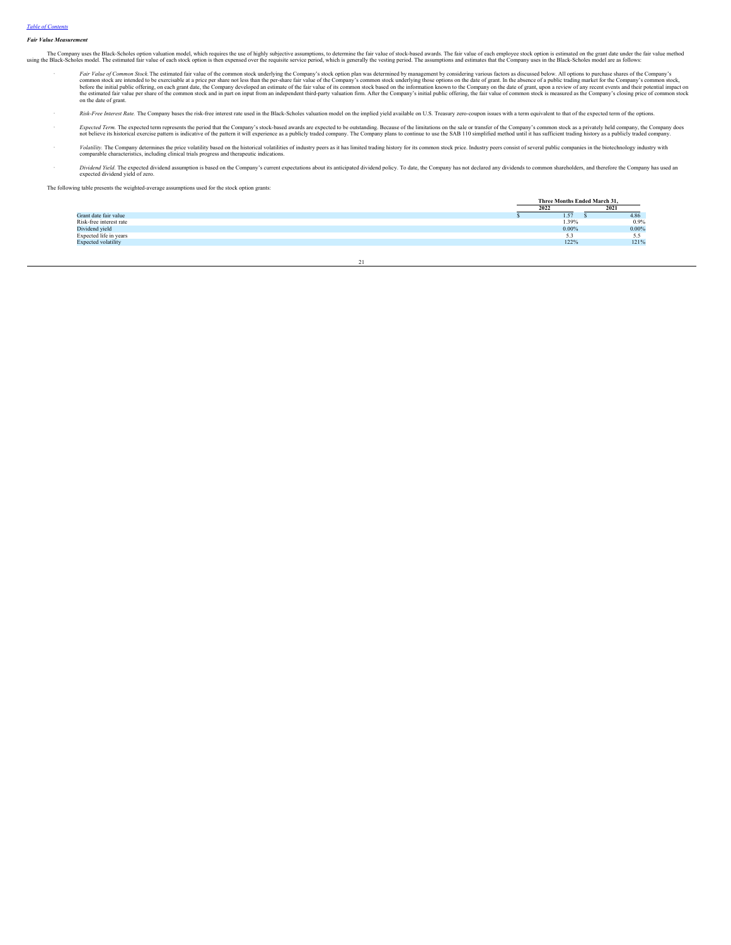#### *Fair Value Measurement*

The Company uses the Black-Scholes option valuation model, which requires the use of highly subjective assumptions, to determine the fair value of stock-beholes option is extended the company uses the forecast and the Comp

- Fair Value of Common Stock. The estimated fair value of the common stock underlying the Company's stock option plan was determined by management by considering various factors as discussed below. All options to purchase s
- Risk-Free Interest Rate. The Company bases the risk-free interest rate used in the Black-Scholes valuation model on the implied yield available on U.S. Treasury zero-coupon issues with a term equivalent to that of the expe
- Expected Term. The expected term represents the period that the Company's stock-based awards are expected to be outstanding. Because of the initiations on the sale or transfer of the pattern it will experience as a publicl
- Volatility. The Company determines the price volatility based on the historical volatilities of industry peers as it has limited trading history for its common stock price. Industry peers consist of several public companie
- Dividend Yield The expected dividend assumption is based on the Company's current expectations about its anticipated dividend policy. To date, the Company has not declared any dividends to common shareholders, and therefor

The following table presents the weighted-average assumptions used for the stock option grants:

|                            | Three Months Ended March 31. |          |      |        |  |
|----------------------------|------------------------------|----------|------|--------|--|
|                            | 2022                         |          | 2021 |        |  |
| Grant date fair value      |                              | 1.57     |      | 4.86   |  |
| Risk-free interest rate    |                              | 1.39%    |      | 0.9%   |  |
| Dividend yield             |                              | $0.00\%$ |      | 0.00%  |  |
| Expected life in years     |                              | 5.3      |      | $\sim$ |  |
| <b>Expected volatility</b> |                              | 122%     |      | 121%   |  |
|                            |                              |          |      |        |  |

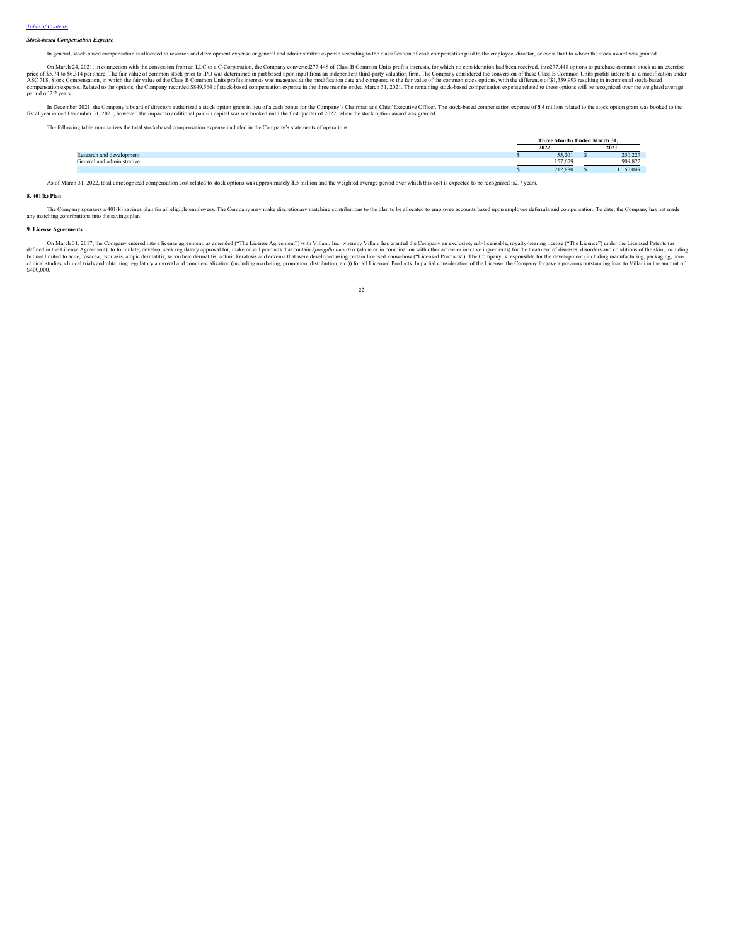## *Stock-based Compensation Expense*

In general, stock-based compensation is allocated to research and development expense or general and administrative expense according to the classification of cash compensation paid to the employee, director, or consultant

On March 24, 2021, in connection with the conversion from an LLC to a C-Corporation, the Company converted 277,448 of Class B Common Units profits interests, for which no consideration had been received, into 277,448 optio price of \$5.74 to \$6.314 per share. The fair value of common stock prior to IPO was determined in part based upon input from an independent third-party valuation firm. The Company considered the conversion of these Class B

In December 2021, the Company's board of directors authorized a stock option grant in lieu of a cash bonus for the Company's Chairman and Chief Executive Officer. The stock-based compensation expense of 8.4 million related

The following table summarizes the total stock-based compensation expense included in the Company's statements of operations:

|                            | Three Months Ended March 31. |           |
|----------------------------|------------------------------|-----------|
|                            | 2022                         | 2021      |
| Research and development   | 55,201                       | 250,227   |
| General and administrative | 157.679                      | 909,822   |
|                            | 212,880                      | 1,160,049 |

As of March 31, 2022, total unrecognized compensation cost related to stock options was approximately \$1.5 million and the weighted average period over which this cost is expected to be recognized is2.7 years.

#### **8. 401(k) Plan**

The Company sponsors a 401(k) savings plan for all eligible employees. The Company may make discretionary matching contributions to the plan to be allocated to employee accounts based upon employee deferrals and compensati

## **9. License Agreements**

On March 31, 2017, the Company entered into a license agreement, as amended ("The License Agreement") with Villani, Inc. whereby Villani has granted the Company an exclusive, sub-licenssable, royalty-bearing license ("The

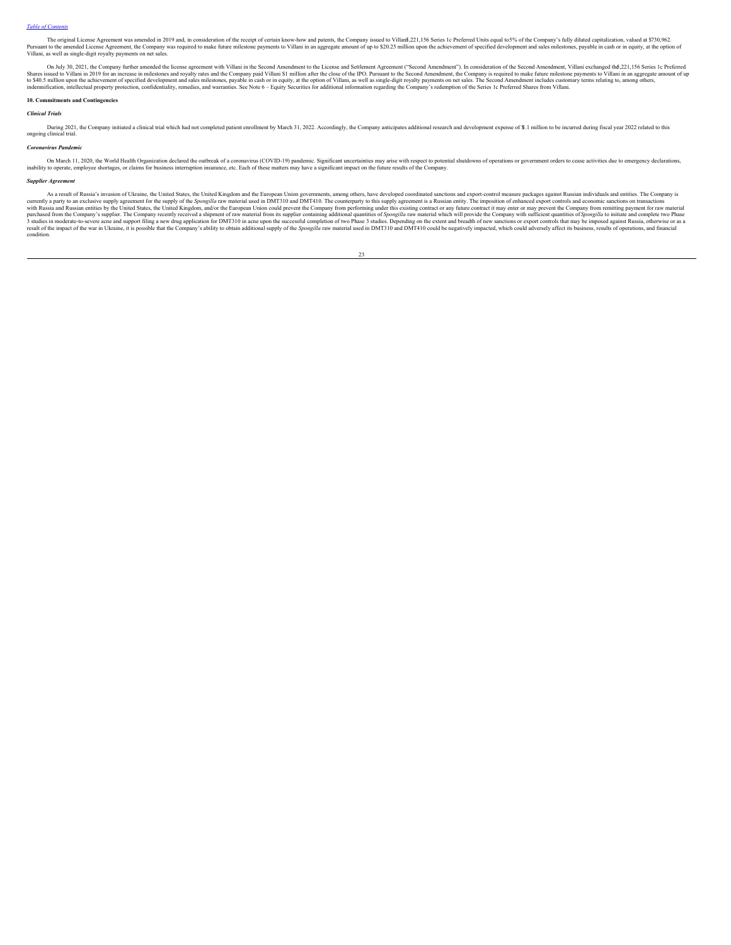The original License Agreement was amended in 2019 and, in consideration of the receipt of certain know-how and patents, the Company issued to Villanti, 221,156 Series 1c Preferred Units equal to 5% of the Company's fully

On July 30, 2021, the Company further amended the license agreement with Villani in the Second Amendment to the License and Settlement Agreement ("Second Amendment"). In consideration of the Second Amendment, willani excha

## **10. Commitments and Contingent**

## *Clinical Trials*

During 2021, the Company initiated a clinical trial which had not completed patient enrollment by March 31, 2022. Accordingly, the Company anticipates additional research and development expense of \$.1 million to be incurr

## *Coronavirus Pandemic*

On March 11, 2020, the World Health Organization declared the outbreak of a coronavinus (COVID-19) pandemic. Significant uncertainties may arise with respect to potential shutdowns of operations or government orders to cea

#### **Supplier** *Agreement*

As a result of Russia's invasion of Ukraine, the United States, the United States, the United States, the United Kingdom and the European Union governments, among others, have developed coordinated sanctions and export-con condition.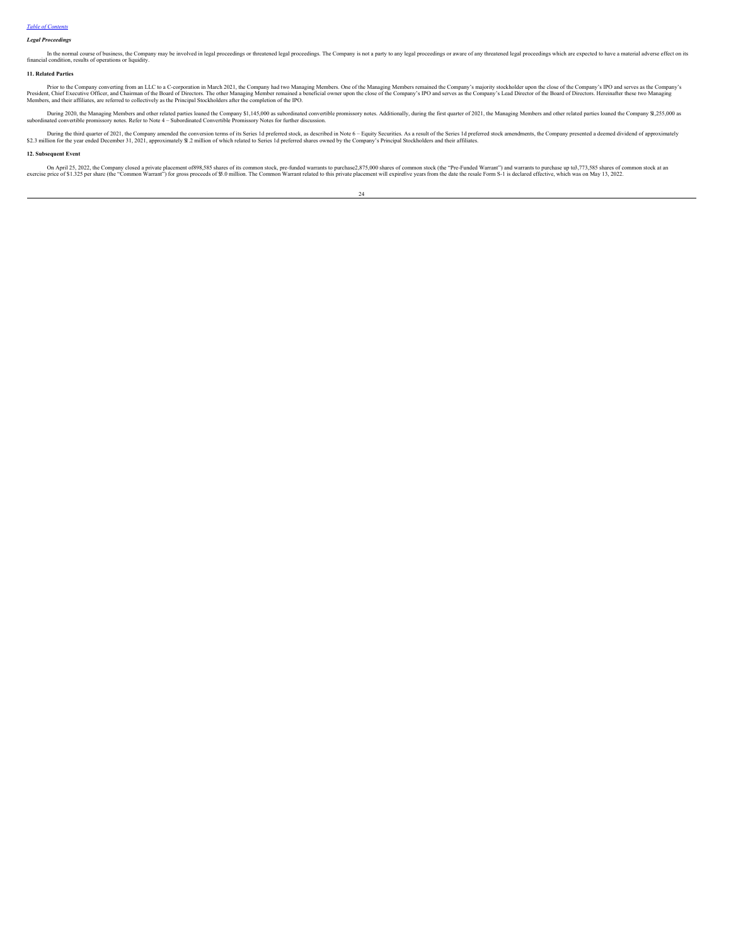#### *Legal Proceedings*

In the normal course of business, the Company may be involved in legal proceedings or threatened legal proceedings. The Company is not a party to any legal proceedings or aware of any threatened legal proceedings which are financial condition, results of operations or liquidity.

## **11. Related Parties**

Prior to the Company converting from an LLC to a C-corporation in March 2021, the Company had two Managing Members. One of the Managing Members remained the Company's majority stockholder upon the close of the Company's IP

During 2020, the Managing Members and other related parties loaned the Company 31,145,000 as subordinated conversible promissory notes. Additionally, during the first quarter of 2021, the Managing Members and other related

During the third quarter of 2021, the Company amended the conversion terms of its Series Id preferred shares comped in Note 6 – Equity Securities. As a result of the Series Id proximately S.2 million for the year ended Dec

## **12. Subsequent Event**

On Appl 25, 2022, the Company closed a private placement of898,358 shares of its common stock, pre-funded warrants to purchase 2,875,000 shares of common stock at an<br>exercise price of \$1.325 per share (the "Common Warrant"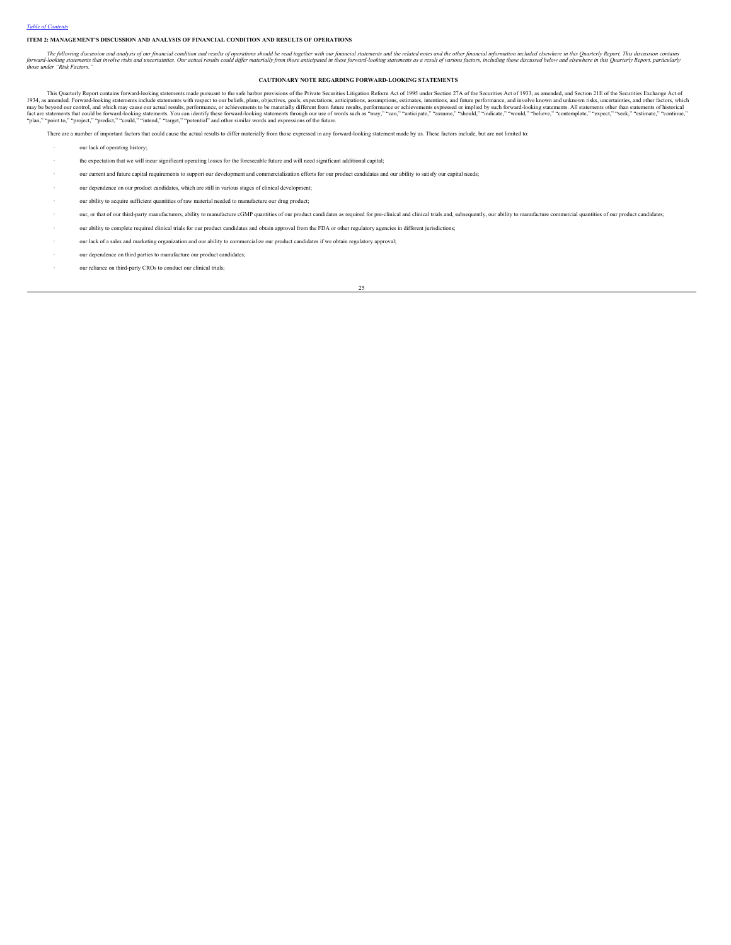#### <span id="page-24-0"></span>**ITEM 2:MANAGEMENT'S DISCUSSION AND ANALYSIS OF FINANCIAL CONDITION AND RESULTS OF OPERATIONS**

The following discussion and analysis of our financial condition and results of operations should be read together with our financial statements and the related notes and the other financial information included elsewhere

#### **CAUTIONARY NOTE REGARDING FORWARD-LOOKING STATEMENTS**

This Quarterly Report contains forward-looking statements made pursuant to the safe harbor provisions of the Private Securities Litigation Reform Act of 1995 under Secion 27A of the Securities Act of 1933, as amended, and

There are a number of important factors that could cause the actual results to differ materially from those expressed in any forward-looking statement made by us. These factors include, but are not limited to:

- our lack of operating history;
- · the expectation that we will incur significant operating losses for the foreseeable future and will need significant additional capital;
- · our current and future capital requirements to support our development and commercialization efforts for our product candidates and our ability to satisfy our capital needs;
- · our dependence on our product candidates, which are still in various stages of clinical development;
- · our ability to acquire sufficient quantities of raw material needed to manufacture our drug product;
- our, or that of our third-party manufacturers, ability to manufacture cGMP quantities of our product candidates as required for pre-clinical and clinical trials and, subsequently, our ability to manufacture commercial quan
- · our ability to complete required clinical trials for our product candidates and obtain approval from the FDA or other regulatory agencies in different jurisdictions;
- · our lack of a sales and marketing organization and our ability to commercialize our product candidates if we obtain regulatory approval;
- · our dependence on third parties to manufacture our product candidates;
- our reliance on third-party CROs to conduct our clinical trials;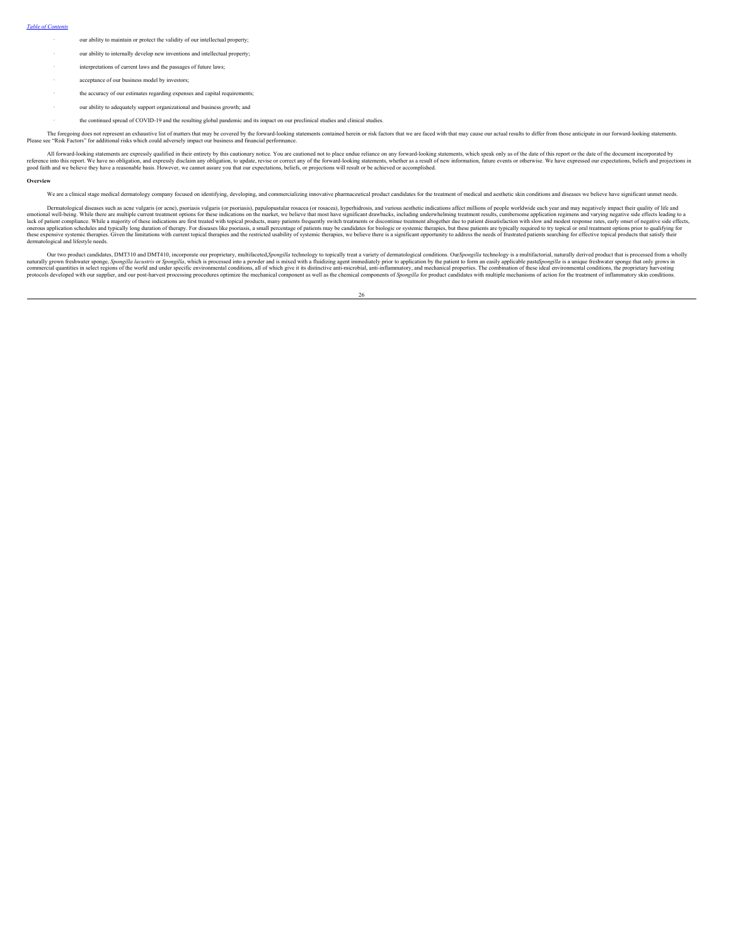- · our ability to maintain or protect the validity of our intellectual property;
- · our ability to internally develop new inventions and intellectual property;
- interpretations of current laws and the passages of future laws;
- · acceptance of our business model by investors;
- · the accuracy of our estimates regarding expenses and capital requirements;
- our ability to adequately support organizational and business growth; and
- the continued spread of COVID-19 and the resulting global pandemic and its impact on our preclinical studies and clinical studies.

The foregoing does not represent an exhaustive list of matters that may be covered by the forward-looking statements contained herein or risk factors that we are faced with that may cause our actual results to differ from

All forward-looking statements are expressly qualified in their entirety by this cautionary notice. You are cautioned not to place undue reliance on any forward-looking statements, which speak only as of the date of this r

#### **Overview**

We are a clinical stage medical dermatology company focused on identifying, developing, and commercializing innovative pharmaceutical product candidates for the treatment of medical and aesthetic skin conditions and diseas

Dermatological diseases such as ene vulgaris or acne vulgaris or acne vulgaris or personais vulgaris or personal phenomentual metals of personal phenomental metals and various and various and the metals of people worldwide lack of patient compliance. While a majority of these indications are first treated with topical products, many patients frequently switch treatments or discontinue treatment altogether due to patient dissatisfaction with

Our two product candidates, DMT310 and DMT410, incorporate our proprietary, multifaceted, *Spongilla* technology to topically treat a variety of dermatological conditions. Our Spongilla technology is a multifactorial, natu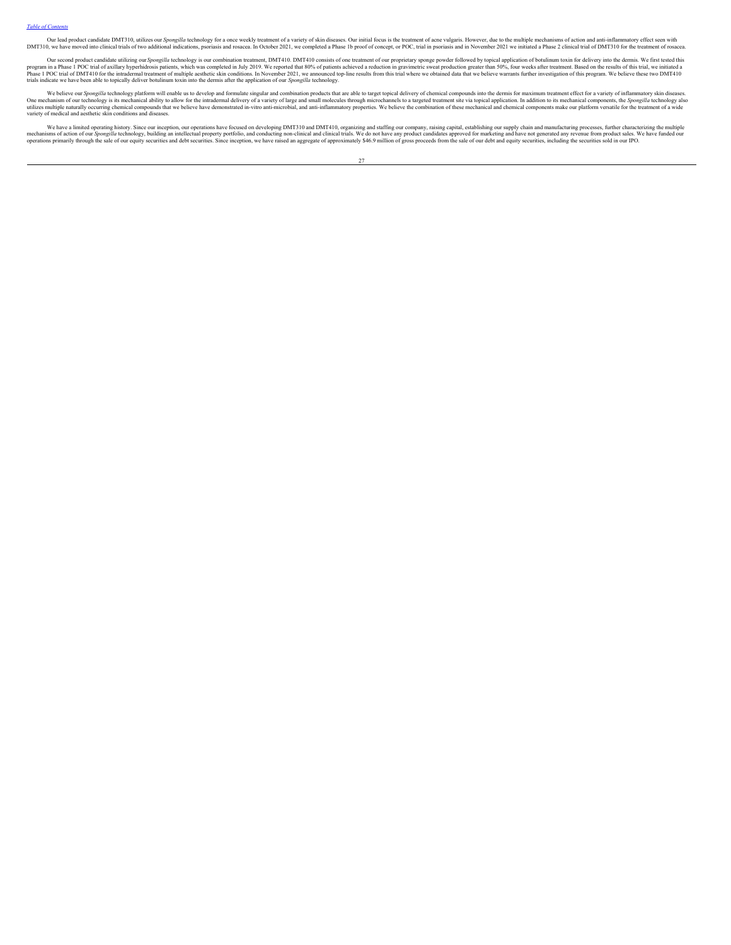Our lead product candidate DMT310, utilizes our *Sponsithe* technology for a once weekly treatment of a variety of skin diseases. Our initial faces the Total product main antiony of the trans in the computed a Phase 19 mov

Our second product candidate utilizing our Spongilla technology is our combination treatment, DMT410 consists of one treatment of our proprietary sponge powder followed by topical application of botulinum toxin for deliver

We believe our Spongilla technology platform will enable us to develop and formulate singular and combination products that are able to target topical delivery of chemical compounds into the dermis for maximum treatment ef

We have a limited operating history. Since our inception, our operations have focused on developing DMT310 and DMT410, organizing and staffing our company, raising capital, establishing our supply chain and manufacturing p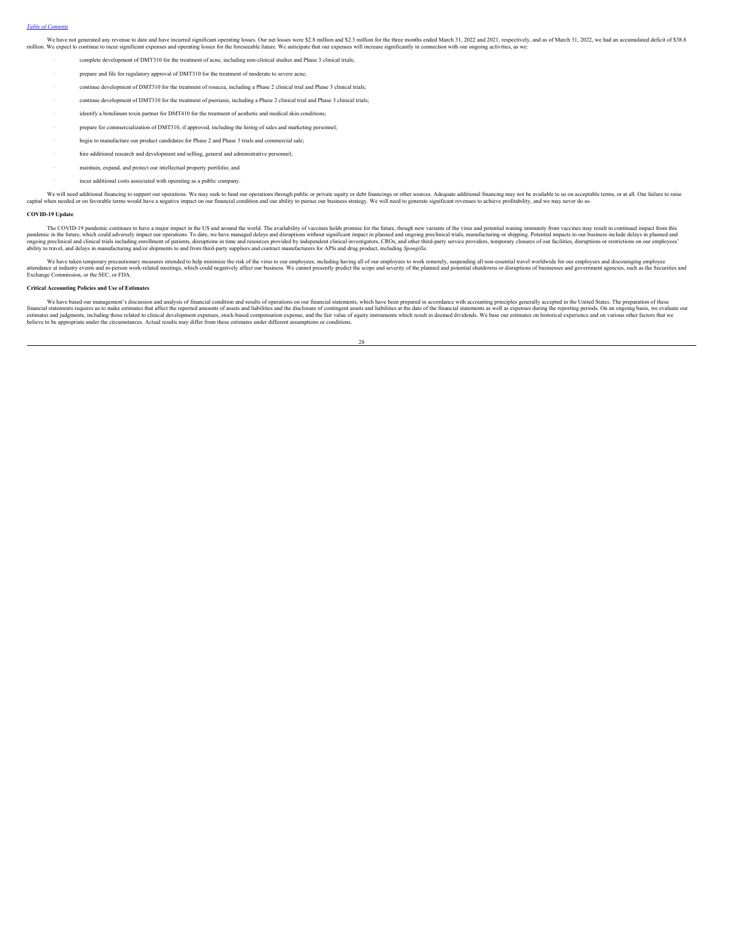We have not generated any evenue to date and have incurred significant operating losses. Our net losses were \$2.8 million and \$2.3 million and \$2.002 and 2021, respectively, and as of March 31, 2022, we had an accumulated

- complete development of DMT310 for the treatment of acne, including non-clinical studies and Phase 3 clinical trials;
- · prepare and file for regulatory approval of DMT310 for the treatment of moderate to severe acne;
- · continue development of DMT310 for the treatment of rosacea, including a Phase 2 clinical trial and Phase 3 clinical trials;
- · continue development of DMT310 for the treatment of psoriasis, including a Phase 2 clinical trial and Phase 3 clinical trials;
- identify a botulinum toxin partner for DMT410 for the treatment of aesthetic and medical skin conditions;
- · prepare for commercialization of DMT310, if approved, including the hiring of sales and marketing personnel;
- · begin to manufacture our product candidates for Phase 2 and Phase 3 trials and commercial sale;
- · hire additional research and development and selling, general and administrative personnel;
- · maintain, expand, and protect our intellectual property portfolio; and
- 
- incur additional costs associated with operating as a public company

We will need additional financing to support our operations. We may seek to fund our operations through public or private equity or debt financial condition and our selection por order sources. Adequet additionate our sour

## **COVID-19 Update**

The COVID-19 pandemic continues to have a major impact in the US and around the world. The availability of vaccines holds promise for the future, though new variants of the virus and potential waning immunity from vaccines pandemic in the future, which could adversely impact our operations. To date, we have managed delays and disruptions without significant impact in planned and ongoing preclinical trials, manufacturing or shipping. Potentia

We have taken temporary precautionary measures intended to help minimize the risk of the virus to our employees, including having all of our employees to work remotely, suspending all non-essential travel worldwide for our

## **Critical Accounting Policies and Use of Estimates**

We have based our management's discussion and analysis of financial condition and results of operations on our financial statements, which have been prepared in accordance with accounting principles generally accepted in t

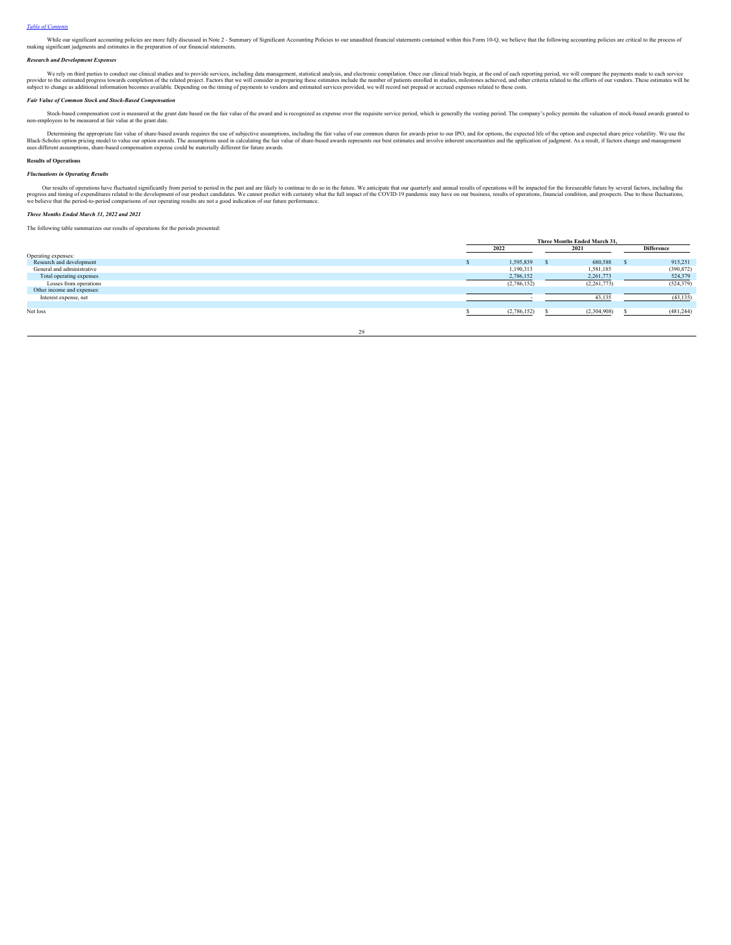While our significant accounting policies are more fully discussed in Note 2 - Summary of Significant Accounting Policies to our unaudited financial statements contained within this Form 10-Q, we believe that the following

#### *Research and Development Expenses*

We rely on third parties to conduct our clinical studies and to provide services, including data management, statistical analysis, and electronic compilation. Once our clinical trials begin, at the end of each reporting pe

## *Fair Value of Common Stock and Stock-Based Compensation*

Stock-based compensation cost is measured at the grant date based on the fair value of the award and is recognized as expense over the requisite service period, which is generally the vesting period. The company's policy p

Determining the appropriate fair value of share-based awards requires the use of subjective assumptions, including the fair value of our common shares for awards prior to our IPO, and for options, the expected life of the

## **Results of Operations**

#### *Fluctuations in Operating Results*

Our results of operations have fluctuated significantly from period to period in the past and are likely to continue to do so in the future. We anticipate that our quarterly and annual results of operations will be impacte

## *Three Months Ended March 31, 2022 and 2021*

The following table summarizes our results of operations for the periods presented:

|                            |             | Three Months Ended March 31. |             |  |                   |
|----------------------------|-------------|------------------------------|-------------|--|-------------------|
|                            | 2022        |                              | 2021        |  | <b>Difference</b> |
| Operating expenses:        |             |                              |             |  |                   |
| Research and development   | 1,595,839   |                              | 680,588     |  | 915,251           |
| General and administrative | 1,190,313   |                              | 1,581,185   |  | (390, 872)        |
| Total operating expenses   | 2,786,152   |                              | 2,261,773   |  | 524,379           |
| Losses from operations     | (2,786,152) |                              | (2,261,773) |  | (524, 379)        |
| Other income and expenses: |             |                              |             |  |                   |
| Interest expense, net      |             |                              | 43,135      |  | (43, 135)         |
|                            |             |                              |             |  |                   |
| Net loss                   | (2,786,152) |                              | (2,304,908) |  | (481, 244)        |
|                            |             |                              |             |  |                   |
|                            |             |                              |             |  |                   |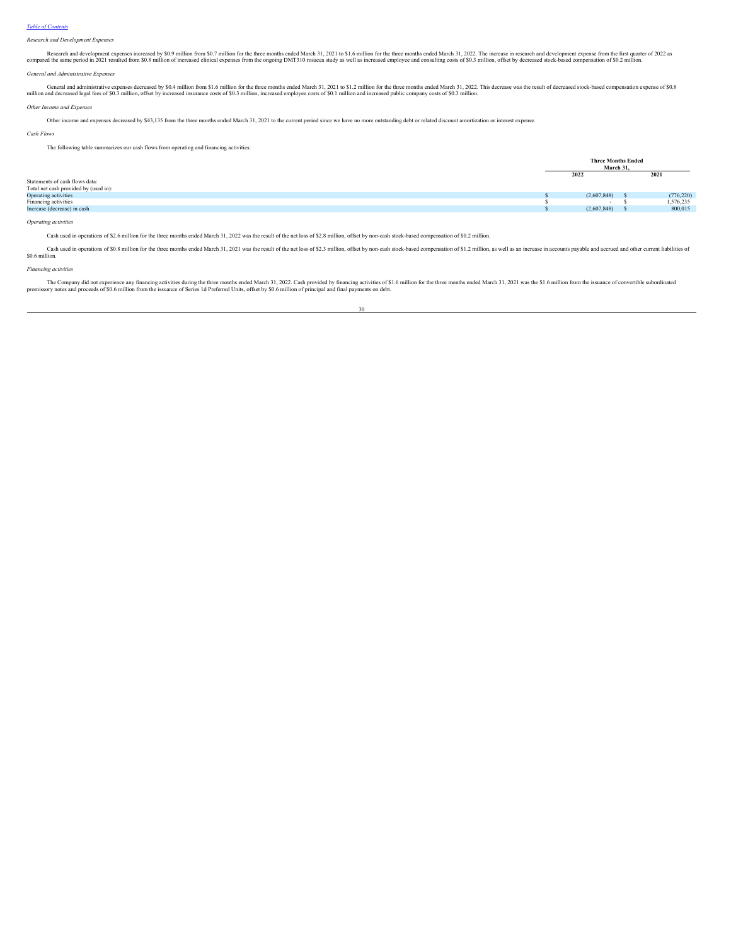## *Research and Development Expenses*

Research and development expenses increased by \$0.9 million form \$0.7 million for the three months ended March 31, 2021 to \$1.021 Dist of million for the enging DMT310 rosacea study as well as increased employee and consul

#### *General and Administrative Expenses*

General and administrative expenses decreased by \$0.4 million, in the secure of the three months ended March 31, 2021 to \$1.2 million from \$1.6 million and decrease was the result of decreased stock-based compensation expe

## *Other Income and Expenses*

Other income and expenses decreased by \$43,135 from the three months ended March 31, 2021 to the current period since we have no more outstanding debt or related discount amortization or interest expense.

#### *Cash Flows*

The following table summarizes our cash flows from operating and financing activities:

|                                       | <b>Three Months Ended</b><br>March 31, |  |            |
|---------------------------------------|----------------------------------------|--|------------|
|                                       | 2022                                   |  | 2021       |
| Statements of cash flows data:        |                                        |  |            |
| Total net cash provided by (used in): |                                        |  |            |
| Operating activities                  | (2,607,848)                            |  | (776, 220) |
| Financing activities                  |                                        |  | 1,576,235  |
| Increase (decrease) in cash           | (2,607,848)                            |  | 800,015    |
|                                       |                                        |  |            |

## *Operating activities*

Cash used in operations of \$2.6 million for the three months ended March 31, 2022 was the result of the net loss of \$2.8 million, offset by non-cash stock-based compensation of \$0.2 million.

Cash used in operations of \$0.8 million for the three months ended March 31, 2021 was the result of the net loss of \$2.3 million, offset by non-cash stock-based compensation of \$1.2 million, as well as an increase in accou

#### *Financing activities*

The Company did not experience any financing activities during the three months ended Marich 31, 20012. Gash provided by financing activities of Stellion for the three months ended March 31, 2021 was the \$1.6 million from

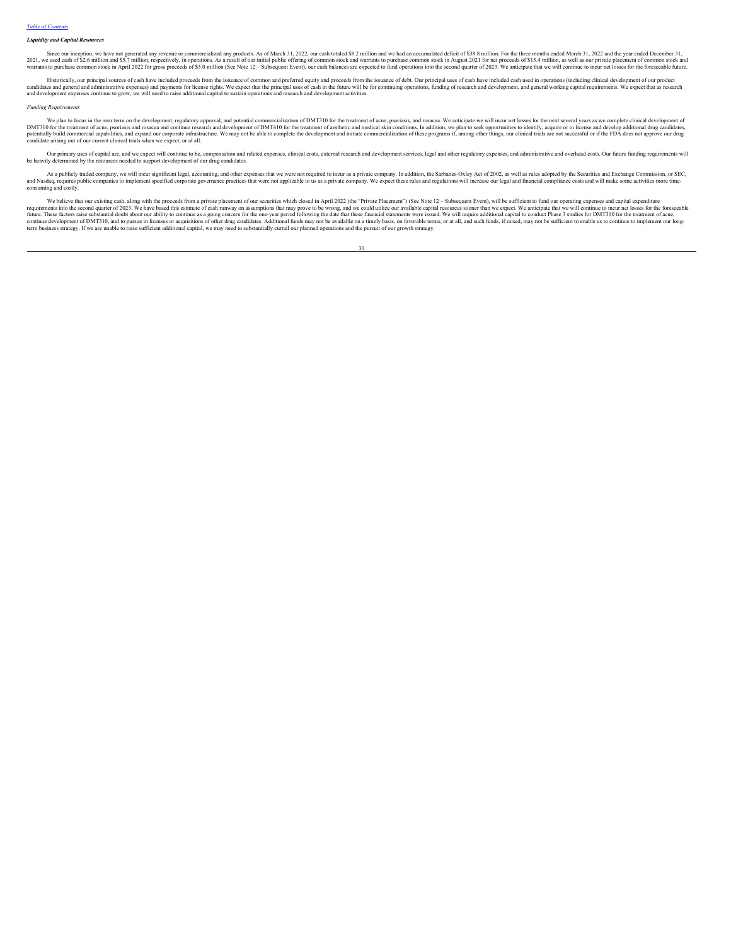#### *Liquidity and Capital Resources*

Since our inception, we have not generated any revenue or commercialized any products. As of March 31, 2022, our cash totaled S8.2 million and we had an accumulated deficit of \$38.8 million. For the three months ended Marc

Historically, our principal sources of cash have included proceeds from the issuance of common and preferred equity and proceds from the issuance of debt. Our principal uses of cash have included cash have included cash in and development expenses continue to grow, we will need to raise additional capital to sustain operations and research and development activities.<br>And applicative expenses continue to grow, we will need to raise additional

#### **Funding** Requirent

We plan to focus in the near term on the development, regulatory approval, and potential commercialization of DMT310 for the treatment of acne, psoriasis, and rosacea. We anticipate we will incur net losses for the next se DMT310 for the treatment of acne, psoriasis and rosacea and continue research and development of DMT410 for the treatment of aesthetic and medical skin conditions. In addition, we plan to seek opportunities to identify, ac

Our primary uses of capital are, and we expect will continue to be, compensation and related expenses, clinical costs, external research and development services, legal and other regulatory expenses, and administrative and

As a publicly traded company, we will incur significant legal, accounting, and other expenses that we were not required to incur as a private company. In addition, the Sarbanes-Oxley Act of 2002, as well as rules adopted b and Nasdag, requires public companies to implement specified corporate governance practices that were not applicable to us as a private company. We expect these rules and regulations will increase our legal and financial c

We believe that our existing cash, along with the proceeds from a private placement of our securities which closed in April 2022 (the "Private Placement") (See Note 12 – Subsequent Event), will be sufficient to find our op

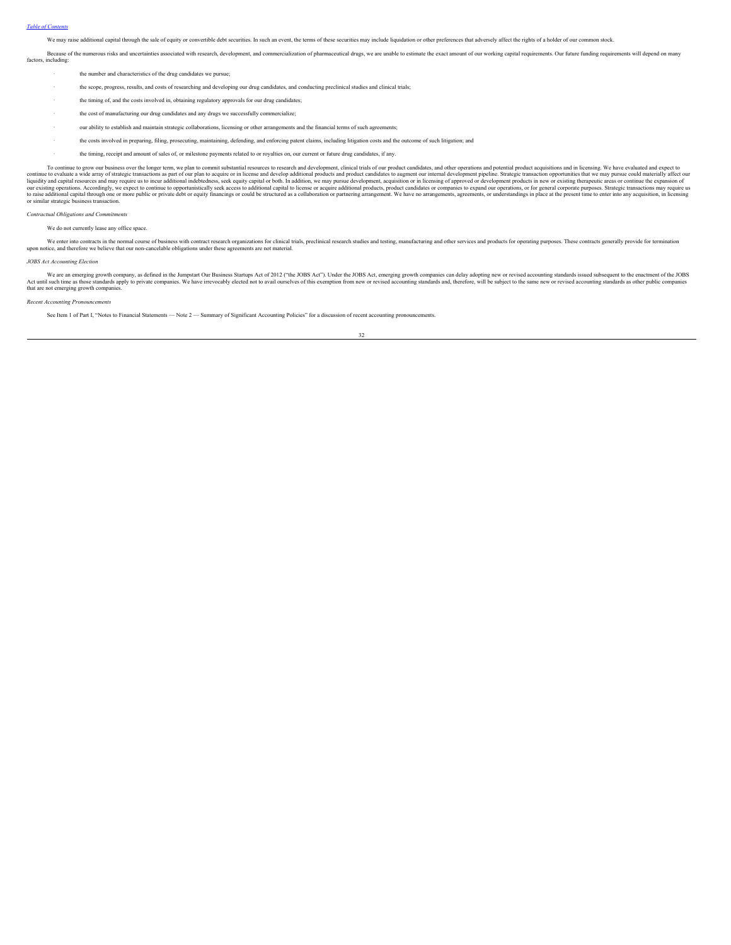We may raise additional capital through the sale of equity or convertible debt securities. In such an event, the terms of these securities may include liquidation or other preferences that adversely affect the rights of a

Because of the numerous risks and uncertainties associated with research, development, and commercialization of pharmaceutical drugs, we are unable to estimate the exact amount of our working capital requirements. Our futu factors, including:

- the number and characteristics of the drug candidates we pursue;
- · the scope, progress, results, and costs of researching and developing our drug candidates, and conducting preclinical studies and clinical trials;
- · the timing of, and the costs involved in, obtaining regulatory approvals for our drug candidates;
- the cost of manufacturing our drug candidates and any drugs we successfully commercialize;
- · our ability to establish and maintain strategic collaborations, licensing or other arrangements and the financial terms of such agreements;
- · the costs involved in preparing, filing, prosecuting, maintaining, defending, and enforcing patent claims, including litigation costs and the outcome of such litigation; and
- the timing, receipt and amount of sales of, or milestone payments related to or royalties on, our current or future drug candidates, if any.

To continue to grow our business over the longer term, we plan to commit substantial resources to research and development, clinical trials of our product candidates, and other operations and potential product acquisitions

 $Control$  *Obligations* and *Commit* 

#### We do not currently lease any office space.

We enter into contracts in the normal course of busines with contract research organizations for clinical trails, preclinical research studies and testing, manufacturing and other services and products for operating purpos

## *JOBS Act Accounting Election*

We are an emerging growth company, as defined in the Jumpstart Our Business Startups Act of 2012 "the JOBS Act", under the JOBS Act, emerging growth companies and adday adopting new or revised accounting standards issued a that are not emerging growth companies.

#### $Recent$  *Accounting Pro*

See Item 1 of Part I, "Notes to Financial Statements - Note 2 - Summary of Significant Accounting Policies" for a discussion of recent accounting pronouncements.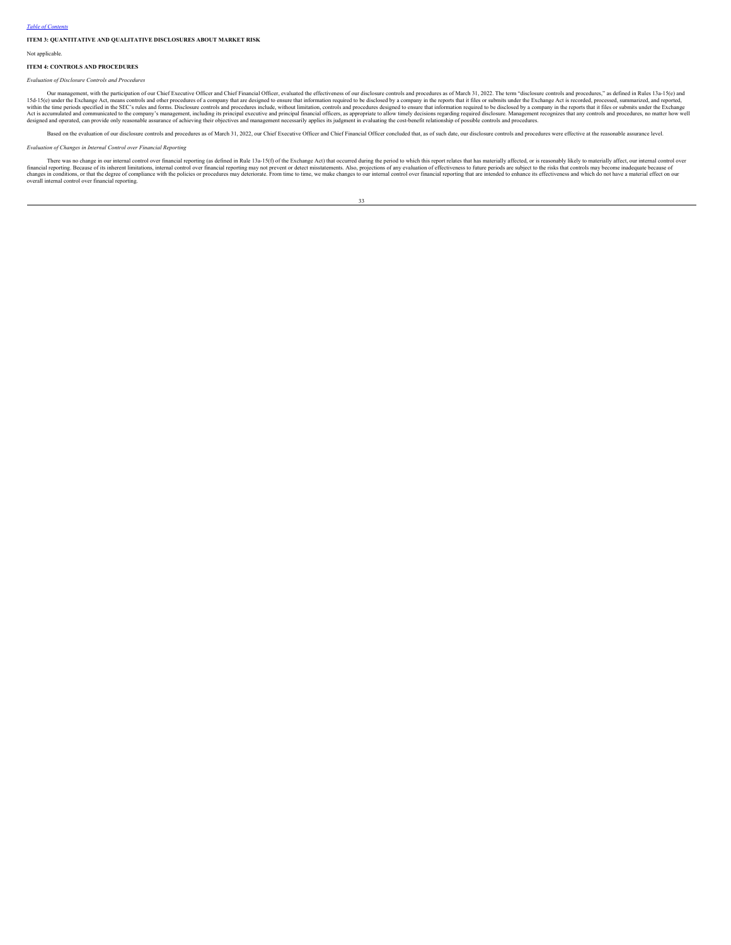<span id="page-32-0"></span>**ITEM 3:QUANTITATIVE AND QUALITATIVE DISCLOSURES ABOUT MARKET RISK**

Not applicable.

## <span id="page-32-1"></span>**ITEM 4:CONTROLS AND PROCEDURES**

*Evaluation of Disclosure Controls and Procedures*

Our management, with the participation of our Chief Executive Officer and Chief Financial Officer, evaluated the effectiveness of our disclosure controls and procedures as of March 31, 2022. The term "disclosure controls a

Based on the evaluation of our disclosure controls and procedures as of March 31, 2022, our Chief Executive Officer and Chief Financial Officer concluded that, as of such date, our disclosure controls and procedures were e

*Evaluation of Changes in Internal Control over Financial Reporting*

There was no change in our internal control over financial reporting (as defined in Rule 13a-15(f) of the Exchange Act) that occurred during the period to which this report relates that has materially affected, or is reaso overall internal control over financial reporting.

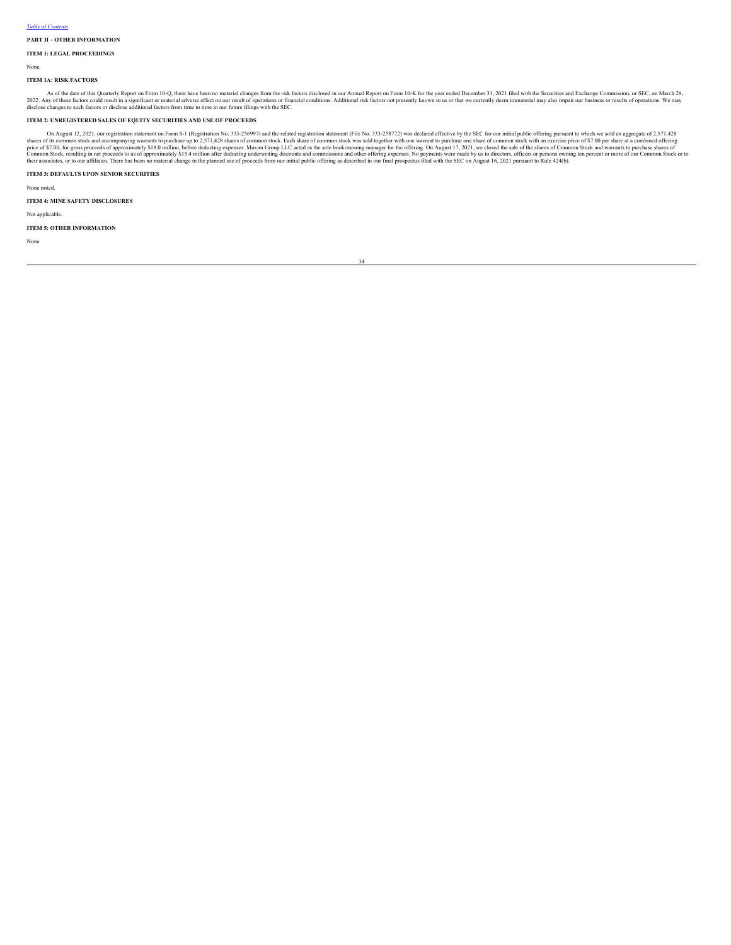## <span id="page-33-0"></span>**PART II – OTHER INFORMATION**

<span id="page-33-1"></span>**ITEM 1:LEGAL PROCEEDINGS**

## None.

#### <span id="page-33-2"></span>**ITEM 1A: RISK FACTORS**

As of the date of this Quarterly Report on Form 10-Q, there have been no material changes from the risk factors disclosed in our Annual Report on Form 10-K for the year ended December 31, 2021 filed with the Securities and

## <span id="page-33-3"></span>**ITEM 2:UNREGISTERED SALES OF EQUITY SECURITIES AND USE OF PROCEEDS**

On August 12, 2021, our registration statement to Purchase and accord particular man Form S-1 (Registration No. 333-256997) and the related registration statement (File No. 333-258772) was declared effective by the SEC for

<span id="page-33-4"></span>**ITEM 3:DEFAULTS UPON SENIOR SECURITIES**

None noted.

## <span id="page-33-5"></span>**ITEM 4:MINE SAFETY DISCLOSURES**

Not applicable.

## <span id="page-33-6"></span>**ITEM 5:OTHER INFORMATION**

None.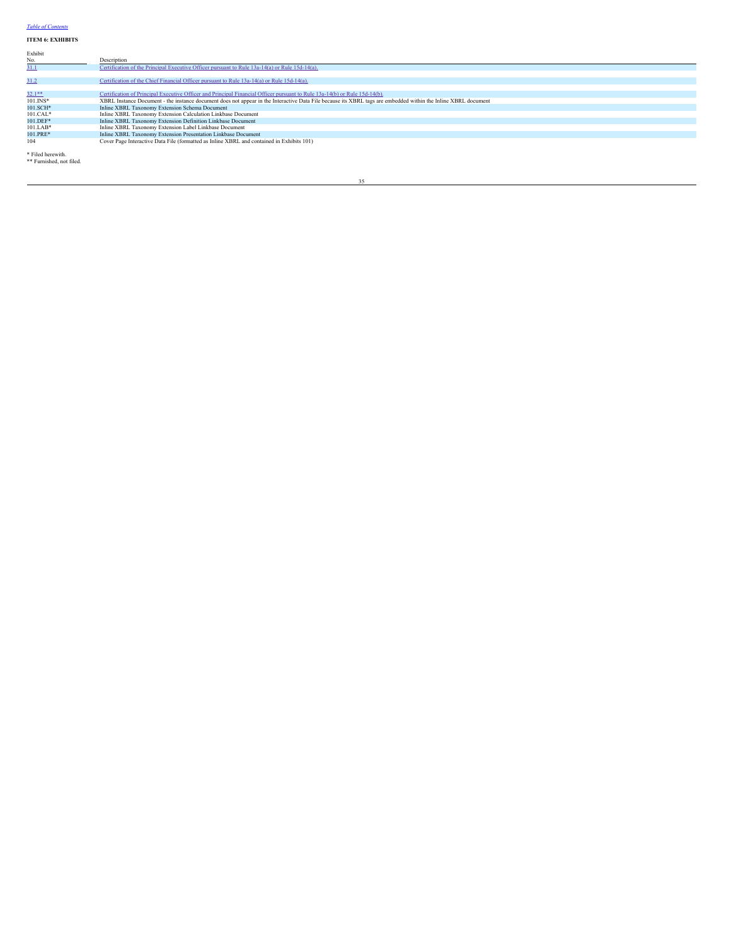## <span id="page-34-0"></span>**ITEM 6:EXHIBITS**

| Exhibit     |                                                                                                                                                                |
|-------------|----------------------------------------------------------------------------------------------------------------------------------------------------------------|
| No.         | Description                                                                                                                                                    |
| 31.1        | Certification of the Principal Executive Officer pursuant to Rule 13a-14(a) or Rule 15d-14(a).                                                                 |
|             |                                                                                                                                                                |
| 31.2        | Certification of the Chief Financial Officer pursuant to Rule 13a-14(a) or Rule 15d-14(a).                                                                     |
|             |                                                                                                                                                                |
| $32.1**$    | Certification of Principal Executive Officer and Principal Financial Officer pursuant to Rule 13a-14(b) or Rule 15d-14(b).                                     |
| $101.$ INS* | XBRL Instance Document - the instance document does not appear in the Interactive Data File because its XBRL tags are embedded within the Inline XBRL document |
| 101.SCH*    | Inline XBRL Taxonomy Extension Schema Document                                                                                                                 |
| $101.CAL*$  | Inline XBRL Taxonomy Extension Calculation Linkbase Document                                                                                                   |
| 101.DEF*    | Inline XBRL Taxonomy Extension Definition Linkbase Document                                                                                                    |
| $101.LAB*$  | Inline XBRL Taxonomy Extension Label Linkbase Document                                                                                                         |
| 101.PRE*    | Inline XBRL Taxonomy Extension Presentation Linkbase Document                                                                                                  |
| 104         | Cover Page Interactive Data File (formatted as Inline XBRL and contained in Exhibits 101)                                                                      |
|             |                                                                                                                                                                |

\* Filed herewith. \*\* Furnished, not filed.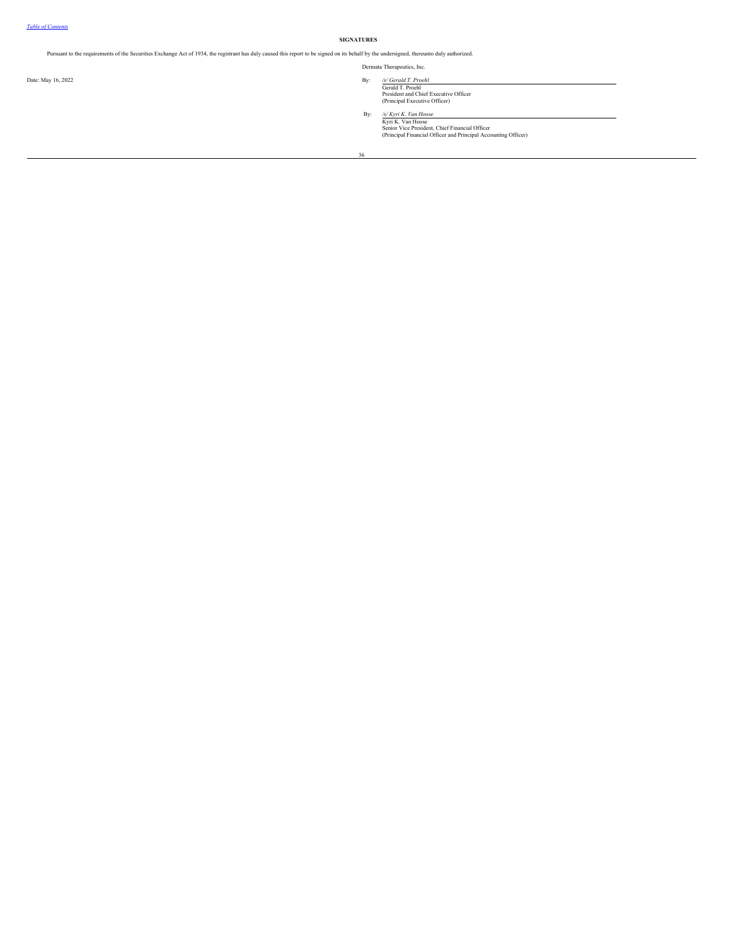## <span id="page-35-0"></span>**SIGNATURES**

Pursuant to the requirements of the Securities Exchange Act of 1934, the registrant has duly caused this report to be signed on its behalf by the undersigned, thereunto duly authorized.

|                    |     | Dermata Therapeutics, Inc.                                                                                                                                     |  |
|--------------------|-----|----------------------------------------------------------------------------------------------------------------------------------------------------------------|--|
| Date: May 16, 2022 | By: | /s/ Gerald T. Proehl<br>Gerald T. Proehl<br>President and Chief Executive Officer<br>(Principal Executive Officer)                                             |  |
|                    | By: | /s/ Kyri K. Van Hoose<br>Kyri K. Van Hoose<br>Senior Vice President, Chief Financial Officer<br>(Principal Financial Officer and Principal Accounting Officer) |  |
|                    | 36  |                                                                                                                                                                |  |
|                    |     |                                                                                                                                                                |  |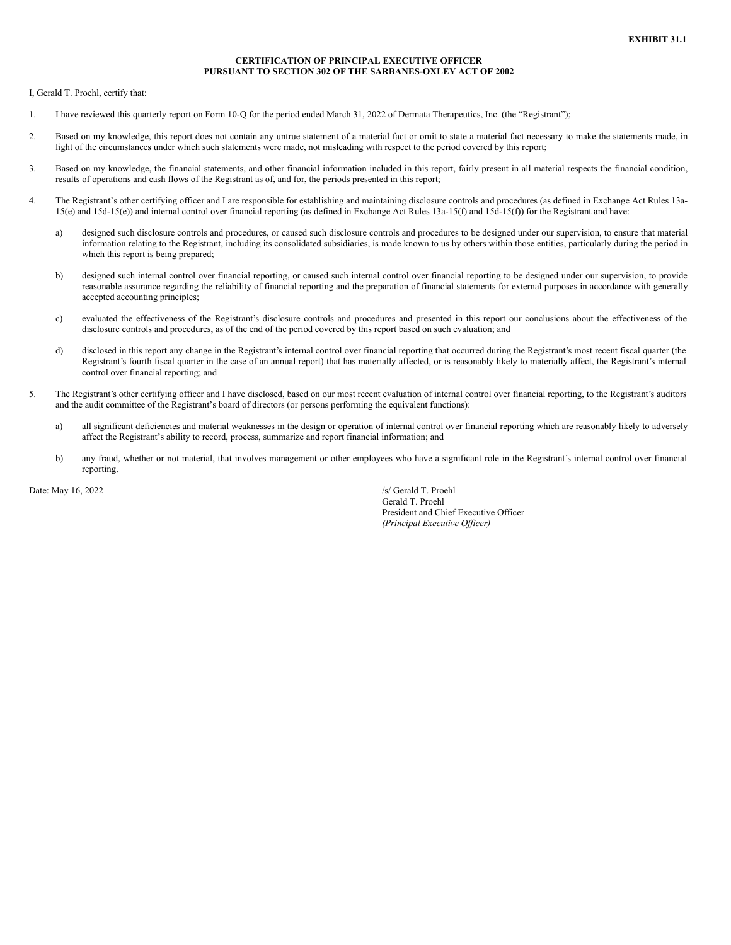## **CERTIFICATION OF PRINCIPAL EXECUTIVE OFFICER PURSUANT TO SECTION 302 OF THE SARBANES-OXLEY ACT OF 2002**

<span id="page-36-0"></span>I, Gerald T. Proehl, certify that:

- 1. I have reviewed this quarterly report on Form 10-Q for the period ended March 31, 2022 of Dermata Therapeutics, Inc. (the "Registrant");
- 2. Based on my knowledge, this report does not contain any untrue statement of a material fact or omit to state a material fact necessary to make the statements made, in light of the circumstances under which such statements were made, not misleading with respect to the period covered by this report;
- 3. Based on my knowledge, the financial statements, and other financial information included in this report, fairly present in all material respects the financial condition, results of operations and cash flows of the Registrant as of, and for, the periods presented in this report;
- 4. The Registrant's other certifying officer and I are responsible for establishing and maintaining disclosure controls and procedures (as defined in Exchange Act Rules 13a- $15(e)$  and  $15d-15(e)$  and internal control over financial reporting (as defined in Exchange Act Rules  $13a-15(f)$  and  $15d-15(f)$ ) for the Registrant and have:
	- a) designed such disclosure controls and procedures, or caused such disclosure controls and procedures to be designed under our supervision, to ensure that material information relating to the Registrant, including its consolidated subsidiaries, is made known to us by others within those entities, particularly during the period in which this report is being prepared;
	- b) designed such internal control over financial reporting, or caused such internal control over financial reporting to be designed under our supervision, to provide reasonable assurance regarding the reliability of financial reporting and the preparation of financial statements for external purposes in accordance with generally accepted accounting principles;
	- c) evaluated the effectiveness of the Registrant's disclosure controls and procedures and presented in this report our conclusions about the effectiveness of the disclosure controls and procedures, as of the end of the period covered by this report based on such evaluation; and
	- d) disclosed in this report any change in the Registrant's internal control over financial reporting that occurred during the Registrant's most recent fiscal quarter (the Registrant's fourth fiscal quarter in the case of an annual report) that has materially affected, or is reasonably likely to materially affect, the Registrant's internal control over financial reporting; and
- 5. The Registrant's other certifying officer and I have disclosed, based on our most recent evaluation of internal control over financial reporting, to the Registrant's auditors and the audit committee of the Registrant's board of directors (or persons performing the equivalent functions):
	- a) all significant deficiencies and material weaknesses in the design or operation of internal control over financial reporting which are reasonably likely to adversely affect the Registrant's ability to record, process, summarize and report financial information; and
	- b) any fraud, whether or not material, that involves management or other employees who have a significant role in the Registrant's internal control over financial reporting.

Date: May 16, 2022 /s/ Gerald T. Proehl

Gerald T. Proehl President and Chief Executive Officer *(Principal Executive Of icer)*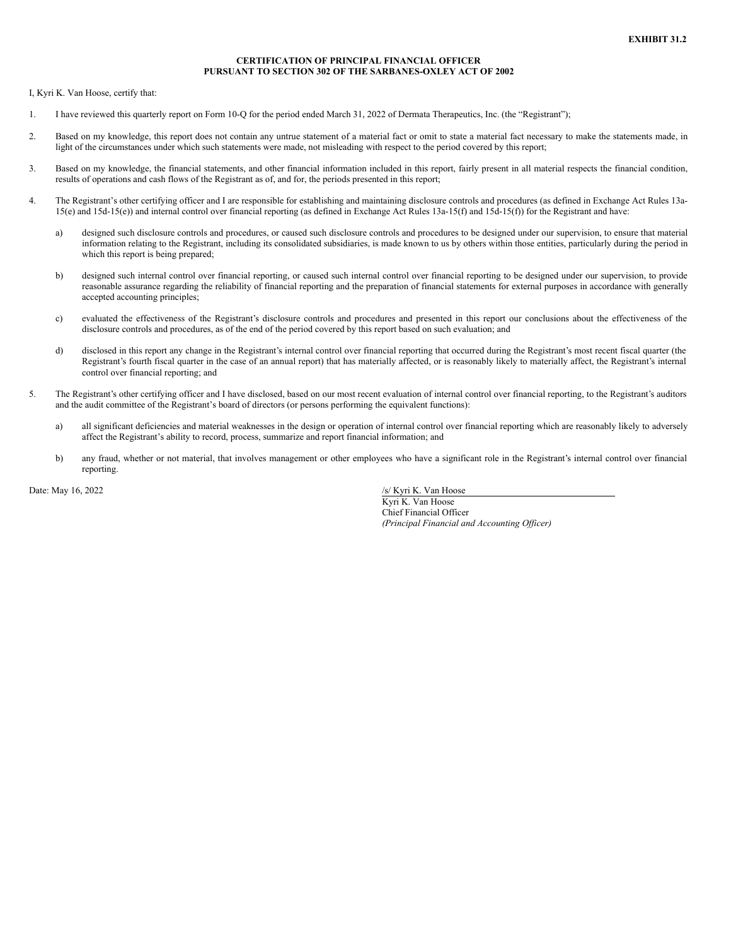## **CERTIFICATION OF PRINCIPAL FINANCIAL OFFICER PURSUANT TO SECTION 302 OF THE SARBANES-OXLEY ACT OF 2002**

<span id="page-37-0"></span>I, Kyri K. Van Hoose, certify that:

- 1. I have reviewed this quarterly report on Form 10-Q for the period ended March 31, 2022 of Dermata Therapeutics, Inc. (the "Registrant");
- 2. Based on my knowledge, this report does not contain any untrue statement of a material fact or omit to state a material fact necessary to make the statements made, in light of the circumstances under which such statements were made, not misleading with respect to the period covered by this report;
- 3. Based on my knowledge, the financial statements, and other financial information included in this report, fairly present in all material respects the financial condition, results of operations and cash flows of the Registrant as of, and for, the periods presented in this report;
- 4. The Registrant's other certifying officer and I are responsible for establishing and maintaining disclosure controls and procedures (as defined in Exchange Act Rules 13a-15(e) and 15d-15(e)) and internal control over financial reporting (as defined in Exchange Act Rules 13a-15(f) and 15d-15(f)) for the Registrant and have:
	- a) designed such disclosure controls and procedures, or caused such disclosure controls and procedures to be designed under our supervision, to ensure that material information relating to the Registrant, including its consolidated subsidiaries, is made known to us by others within those entities, particularly during the period in which this report is being prepared;
	- b) designed such internal control over financial reporting, or caused such internal control over financial reporting to be designed under our supervision, to provide reasonable assurance regarding the reliability of financial reporting and the preparation of financial statements for external purposes in accordance with generally accepted accounting principles;
	- c) evaluated the effectiveness of the Registrant's disclosure controls and procedures and presented in this report our conclusions about the effectiveness of the disclosure controls and procedures, as of the end of the period covered by this report based on such evaluation; and
	- d) disclosed in this report any change in the Registrant's internal control over financial reporting that occurred during the Registrant's most recent fiscal quarter (the Registrant's fourth fiscal quarter in the case of an annual report) that has materially affected, or is reasonably likely to materially affect, the Registrant's internal control over financial reporting; and
- 5. The Registrant's other certifying officer and I have disclosed, based on our most recent evaluation of internal control over financial reporting, to the Registrant's auditors and the audit committee of the Registrant's board of directors (or persons performing the equivalent functions):
	- a) all significant deficiencies and material weaknesses in the design or operation of internal control over financial reporting which are reasonably likely to adversely affect the Registrant's ability to record, process, summarize and report financial information; and
	- b) any fraud, whether or not material, that involves management or other employees who have a significant role in the Registrant's internal control over financial reporting.

Date: May 16, 2022 /s/ Kyri K. Van Hoose Kyri K. Van Hoose Chief Financial Officer *(Principal Financial and Accounting Of icer)*